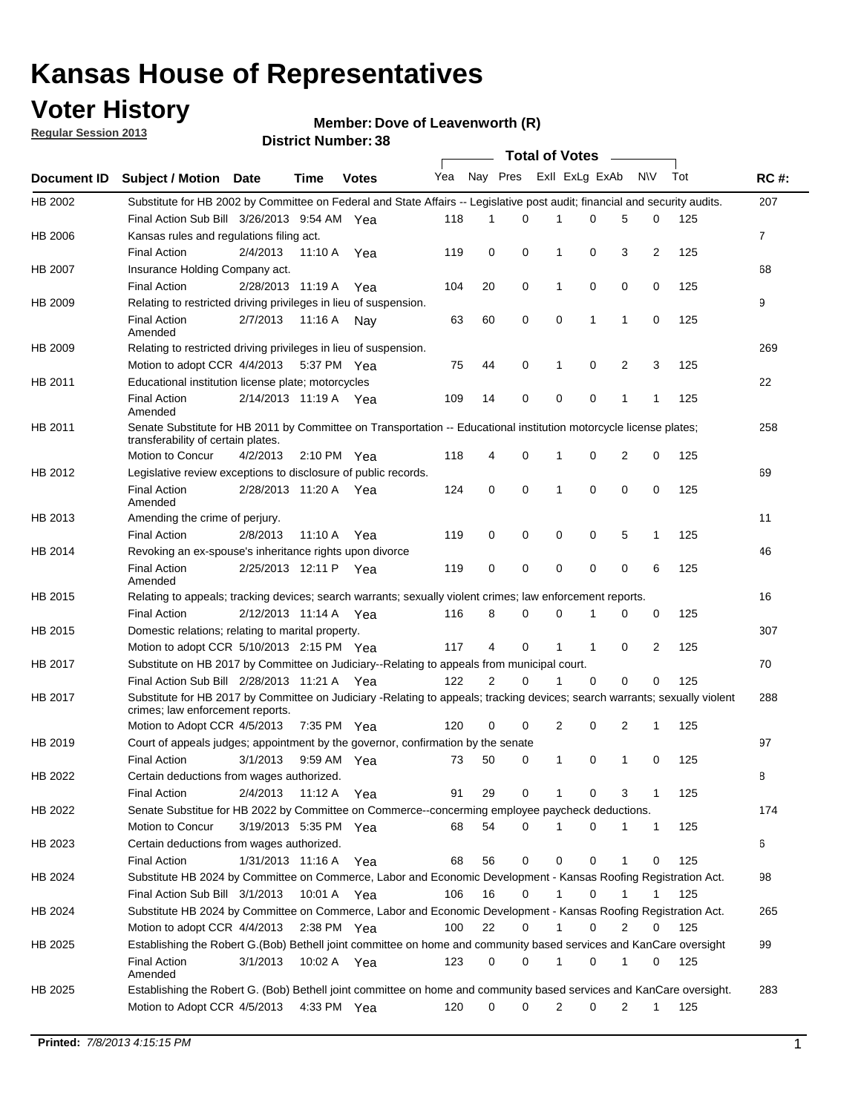### **Voter History**

**Member: Dove of Leavenworth (R)** 

**Regular Session 2013**

|                    |                                                                                                                                                                |                   | טט. וסעוווטנו ועוווטכ |              |                             |                | <b>Total of Votes</b> |                |              |                |                |     |                |
|--------------------|----------------------------------------------------------------------------------------------------------------------------------------------------------------|-------------------|-----------------------|--------------|-----------------------------|----------------|-----------------------|----------------|--------------|----------------|----------------|-----|----------------|
| <b>Document ID</b> | <b>Subject / Motion Date</b>                                                                                                                                   |                   | <b>Time</b>           | <b>Votes</b> | Yea Nay Pres Exll ExLg ExAb |                |                       |                |              |                | N\V            | Tot | <b>RC#:</b>    |
| HB 2002            | Substitute for HB 2002 by Committee on Federal and State Affairs -- Legislative post audit; financial and security audits.                                     |                   |                       |              |                             |                |                       |                |              |                |                |     | 207            |
|                    | Final Action Sub Bill 3/26/2013 9:54 AM Yea                                                                                                                    |                   |                       |              | 118                         | 1              | 0                     |                | 0            | 5              | 0              | 125 |                |
| HB 2006            | Kansas rules and regulations filing act.                                                                                                                       |                   |                       |              |                             |                |                       |                |              |                |                |     | $\overline{7}$ |
|                    | <b>Final Action</b>                                                                                                                                            | 2/4/2013          | 11:10 A               | Yea          | 119                         | 0              | 0                     | $\mathbf 1$    | 0            | 3              | $\overline{2}$ | 125 |                |
| HB 2007            | Insurance Holding Company act.                                                                                                                                 |                   |                       |              |                             |                |                       |                |              |                |                |     | 68             |
|                    | <b>Final Action</b>                                                                                                                                            | 2/28/2013 11:19 A |                       | Yea          | 104                         | 20             | 0                     | 1              | 0            | 0              | 0              | 125 |                |
| HB 2009            | Relating to restricted driving privileges in lieu of suspension.                                                                                               |                   |                       |              |                             |                |                       |                |              |                |                |     | 9              |
|                    | <b>Final Action</b><br>Amended                                                                                                                                 | 2/7/2013          | 11:16 A Nay           |              | 63                          | 60             | 0                     | 0              | $\mathbf 1$  | $\mathbf 1$    | 0              | 125 |                |
| HB 2009            | Relating to restricted driving privileges in lieu of suspension.                                                                                               |                   |                       |              |                             |                |                       |                |              |                |                |     | 269            |
|                    | Motion to adopt CCR 4/4/2013                                                                                                                                   |                   | 5:37 PM Yea           |              | 75                          | 44             | 0                     | 1              | 0            | 2              | 3              | 125 |                |
| HB 2011            | Educational institution license plate; motorcycles                                                                                                             |                   |                       |              |                             |                |                       |                |              |                |                |     | 22             |
|                    | <b>Final Action</b><br>Amended                                                                                                                                 |                   | 2/14/2013 11:19 A Yea |              | 109                         | 14             | 0                     | 0              | 0            | 1              | 1              | 125 |                |
| HB 2011            | Senate Substitute for HB 2011 by Committee on Transportation -- Educational institution motorcycle license plates;                                             |                   |                       |              |                             |                |                       |                |              |                |                |     | 258            |
|                    | transferability of certain plates.                                                                                                                             |                   |                       |              |                             |                |                       |                |              |                |                |     |                |
|                    | Motion to Concur                                                                                                                                               | 4/2/2013          | $2:10 \text{ PM}$ Yea |              | 118                         | 4              | 0                     | 1              | 0            | $\overline{2}$ | 0              | 125 |                |
| HB 2012            | Legislative review exceptions to disclosure of public records.                                                                                                 |                   |                       |              |                             |                |                       |                |              |                |                |     | 69             |
|                    | <b>Final Action</b><br>Amended                                                                                                                                 |                   | 2/28/2013 11:20 A Yea |              | 124                         | 0              | 0                     | 1              | 0            | 0              | 0              | 125 |                |
| HB 2013            | Amending the crime of perjury.                                                                                                                                 |                   |                       |              |                             |                |                       |                |              |                |                |     | 11             |
|                    | <b>Final Action</b>                                                                                                                                            | 2/8/2013          | 11:10 A               | Yea          | 119                         | 0              | 0                     | 0              | 0            | 5              | 1              | 125 |                |
| HB 2014            | Revoking an ex-spouse's inheritance rights upon divorce                                                                                                        |                   |                       |              |                             |                |                       |                |              |                |                |     | 46             |
|                    | <b>Final Action</b><br>Amended                                                                                                                                 |                   | 2/25/2013 12:11 P Yea |              | 119                         | 0              | $\mathbf 0$           | 0              | 0            | 0              | 6              | 125 |                |
| HB 2015            | Relating to appeals; tracking devices; search warrants; sexually violent crimes; law enforcement reports.                                                      |                   |                       |              |                             |                |                       |                |              |                |                |     | 16             |
|                    | <b>Final Action</b>                                                                                                                                            |                   | 2/12/2013 11:14 A Yea |              | 116                         | 8              | 0                     | 0              |              | 0              | 0              | 125 |                |
| HB 2015            | Domestic relations; relating to marital property.                                                                                                              |                   |                       |              |                             |                |                       |                |              |                |                |     | 307            |
|                    | Motion to adopt CCR 5/10/2013 2:15 PM Yea                                                                                                                      |                   |                       |              | 117                         | 4              | 0                     | $\mathbf{1}$   | $\mathbf{1}$ | 0              | 2              | 125 |                |
| HB 2017            | Substitute on HB 2017 by Committee on Judiciary--Relating to appeals from municipal court.                                                                     |                   |                       |              |                             |                |                       |                |              |                |                |     | 70             |
|                    | Final Action Sub Bill 2/28/2013 11:21 A Yea                                                                                                                    |                   |                       |              | 122                         | $\overline{2}$ | 0                     | 1              | $\Omega$     | 0              | 0              | 125 |                |
| HB 2017            | Substitute for HB 2017 by Committee on Judiciary -Relating to appeals; tracking devices; search warrants; sexually violent<br>crimes; law enforcement reports. |                   |                       |              |                             |                |                       |                |              |                |                |     | 288            |
|                    | Motion to Adopt CCR 4/5/2013 7:35 PM Yea                                                                                                                       |                   |                       |              | 120                         | 0              | 0                     | $\overline{2}$ | 0            | 2              | 1              | 125 |                |
| HB 2019            | Court of appeals judges; appointment by the governor, confirmation by the senate                                                                               |                   |                       |              |                             |                |                       |                |              |                |                |     | 97             |
|                    | <b>Final Action</b>                                                                                                                                            | 3/1/2013          | 9:59 AM Yea           |              | 73                          | 50             | 0                     | 1              | 0            | 1              | 0              | 125 |                |
| HB 2022            | Certain deductions from wages authorized.                                                                                                                      |                   |                       |              |                             |                |                       |                |              |                |                |     | В              |
|                    | <b>Final Action</b>                                                                                                                                            | 2/4/2013          | 11:12 A               | Yea          | 91                          | 29             | 0                     |                | 0            | 3              | 1              | 125 |                |
| HB 2022            | Senate Substitue for HB 2022 by Committee on Commerce--concerming employee paycheck deductions.                                                                |                   |                       |              |                             |                |                       |                |              |                |                |     | 174            |
|                    | Motion to Concur                                                                                                                                               |                   | 3/19/2013 5:35 PM Yea |              | 68                          | 54             | 0                     | 1              | 0            | 1              | 1              | 125 |                |
| HB 2023            | Certain deductions from wages authorized.                                                                                                                      |                   |                       |              |                             |                |                       |                |              |                |                |     | 6              |
|                    | <b>Final Action</b>                                                                                                                                            | 1/31/2013 11:16 A |                       | Yea          | 68                          | 56             | 0                     | 0              | 0            | 1              | 0              | 125 |                |
| HB 2024            | Substitute HB 2024 by Committee on Commerce, Labor and Economic Development - Kansas Roofing Registration Act.                                                 |                   |                       |              |                             |                |                       |                |              |                |                |     | 98             |
|                    | Final Action Sub Bill 3/1/2013                                                                                                                                 |                   | 10:01 A Yea           |              | 106                         | 16             | 0                     | $\mathbf{1}$   | 0            | 1              | 1              | 125 |                |
| HB 2024            | Substitute HB 2024 by Committee on Commerce, Labor and Economic Development - Kansas Roofing Registration Act.                                                 |                   |                       |              |                             |                |                       |                |              |                |                |     | 265            |
|                    | Motion to adopt CCR 4/4/2013                                                                                                                                   |                   | $2:38$ PM Yea         |              | 100                         | 22             | 0                     | $\mathbf{1}$   | 0            | 2              | 0              | 125 |                |
| HB 2025            | Establishing the Robert G.(Bob) Bethell joint committee on home and community based services and KanCare oversight                                             |                   |                       |              |                             |                |                       |                |              |                |                |     | 99             |
|                    |                                                                                                                                                                |                   | 10:02 A Yea           |              | 123                         | 0              | 0                     | $\mathbf{1}$   | 0            | $\mathbf 1$    |                |     |                |
|                    |                                                                                                                                                                |                   |                       |              |                             |                |                       |                |              |                | 0              | 125 |                |
|                    | <b>Final Action</b>                                                                                                                                            | 3/1/2013          |                       |              |                             |                |                       |                |              |                |                |     |                |
| HB 2025            | Amended<br>Establishing the Robert G. (Bob) Bethell joint committee on home and community based services and KanCare oversight.                                |                   |                       |              |                             |                |                       |                |              |                |                |     | 283            |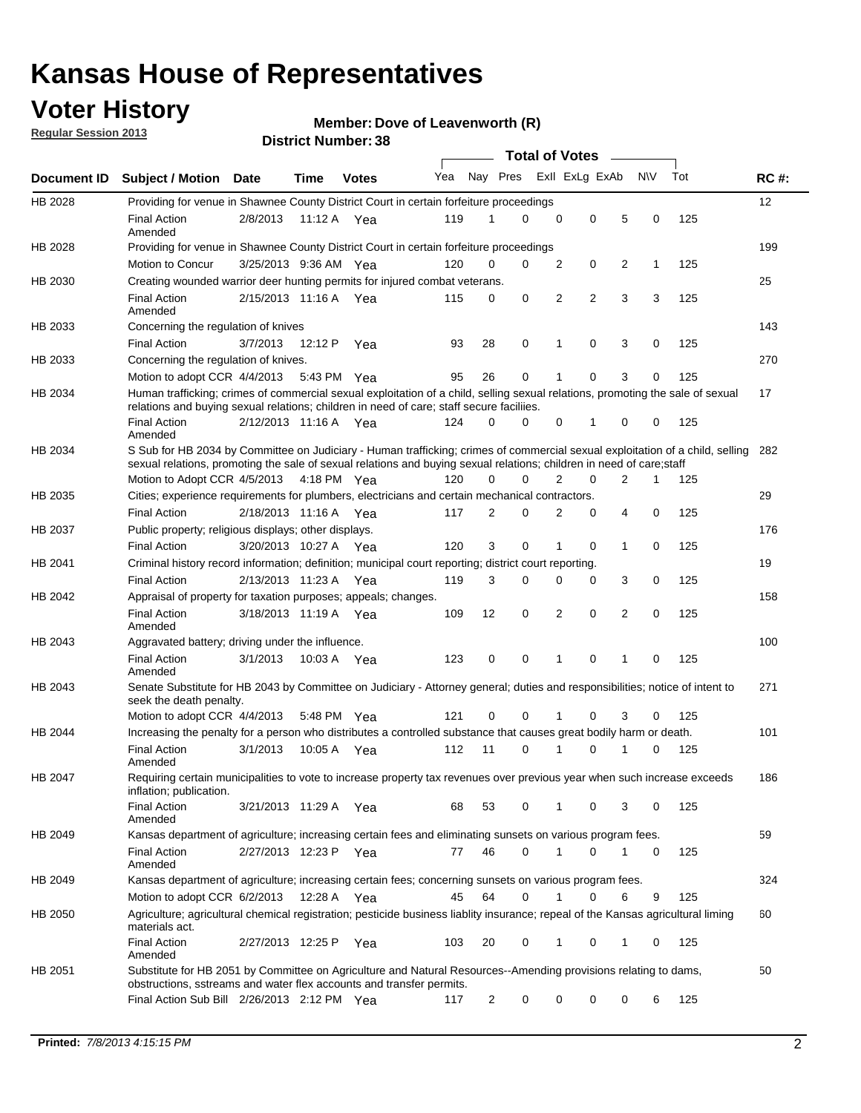### **Voter History**

**Member: Dove of Leavenworth (R)** 

**Regular Session 2013**

|             |                                                                                                                                                                                                                                                       |                       |         |              |     |                | <b>Total of Votes</b> |             |                |                |           |     |             |
|-------------|-------------------------------------------------------------------------------------------------------------------------------------------------------------------------------------------------------------------------------------------------------|-----------------------|---------|--------------|-----|----------------|-----------------------|-------------|----------------|----------------|-----------|-----|-------------|
| Document ID | <b>Subject / Motion Date</b>                                                                                                                                                                                                                          |                       | Time    | <b>Votes</b> | Yea | Nay Pres       |                       |             | Exll ExLg ExAb |                | <b>NV</b> | Tot | <b>RC#:</b> |
| HB 2028     | Providing for venue in Shawnee County District Court in certain forfeiture proceedings                                                                                                                                                                |                       |         |              |     |                |                       |             |                |                |           |     | 12          |
|             | <b>Final Action</b><br>Amended                                                                                                                                                                                                                        | 2/8/2013              |         | 11:12 A Yea  | 119 | 1              | $\Omega$              | $\mathbf 0$ | 0              | 5              | 0         | 125 |             |
| HB 2028     | Providing for venue in Shawnee County District Court in certain forfeiture proceedings                                                                                                                                                                | 3/25/2013 9:36 AM Yea |         |              | 120 | 0              | 0                     | 2           | 0              | 2              | 1         | 125 | 199         |
|             | Motion to Concur                                                                                                                                                                                                                                      |                       |         |              |     |                |                       |             |                |                |           |     |             |
| HB 2030     | Creating wounded warrior deer hunting permits for injured combat veterans.<br><b>Final Action</b>                                                                                                                                                     | 2/15/2013 11:16 A     |         | Yea          | 115 | 0              | 0                     | 2           | $\overline{2}$ | 3              | 3         | 125 | 25          |
| HB 2033     | Amended<br>Concerning the regulation of knives                                                                                                                                                                                                        |                       |         |              |     |                |                       |             |                |                |           |     | 143         |
|             | <b>Final Action</b>                                                                                                                                                                                                                                   | 3/7/2013              | 12:12 P | Yea          | 93  | 28             | 0                     | 1           | 0              | 3              | 0         | 125 |             |
| HB 2033     | Concerning the regulation of knives.                                                                                                                                                                                                                  |                       |         |              |     |                |                       |             |                |                |           |     | 270         |
|             | Motion to adopt CCR 4/4/2013                                                                                                                                                                                                                          |                       |         | 5:43 PM Yea  | 95  | 26             | 0                     |             | 0              | 3              | 0         | 125 |             |
| HB 2034     | Human trafficking; crimes of commercial sexual exploitation of a child, selling sexual relations, promoting the sale of sexual<br>relations and buying sexual relations; children in need of care; staff secure faciliies.                            |                       |         |              |     |                |                       |             |                |                |           |     | 17          |
|             | <b>Final Action</b><br>Amended                                                                                                                                                                                                                        | 2/12/2013 11:16 A Yea |         |              | 124 | $\Omega$       | 0                     | 0           | 1              | 0              | 0         | 125 |             |
| HB 2034     | S Sub for HB 2034 by Committee on Judiciary - Human trafficking; crimes of commercial sexual exploitation of a child, selling<br>sexual relations, promoting the sale of sexual relations and buying sexual relations; children in need of care;staff |                       |         |              |     |                |                       |             |                |                |           |     | 282         |
|             | Motion to Adopt CCR 4/5/2013 4:18 PM Yea                                                                                                                                                                                                              |                       |         |              | 120 | 0              | 0                     | 2           | 0              | $\overline{2}$ | 1         | 125 |             |
| HB 2035     | Cities; experience requirements for plumbers, electricians and certain mechanical contractors.                                                                                                                                                        |                       |         |              |     |                |                       |             |                |                |           |     | 29          |
|             | <b>Final Action</b>                                                                                                                                                                                                                                   | 2/18/2013 11:16 A     |         | Yea          | 117 | 2              | 0                     | 2           | 0              | 4              | 0         | 125 |             |
| HB 2037     | Public property; religious displays; other displays.                                                                                                                                                                                                  |                       |         |              |     |                |                       |             |                |                |           |     | 176         |
|             | <b>Final Action</b>                                                                                                                                                                                                                                   | 3/20/2013 10:27 A     |         | Yea          | 120 | 3              | 0                     | 1           | 0              | 1              | 0         | 125 |             |
| HB 2041     | Criminal history record information; definition; municipal court reporting; district court reporting.                                                                                                                                                 |                       |         |              |     |                |                       |             |                |                |           |     | 19          |
|             | <b>Final Action</b>                                                                                                                                                                                                                                   | 2/13/2013 11:23 A     |         | Yea          | 119 | 3              | 0                     | 0           | 0              | 3              | 0         | 125 |             |
| HB 2042     | Appraisal of property for taxation purposes; appeals; changes.                                                                                                                                                                                        |                       |         |              |     |                |                       |             |                |                |           |     | 158         |
|             | <b>Final Action</b><br>Amended                                                                                                                                                                                                                        | 3/18/2013 11:19 A     |         | Yea          | 109 | 12             | 0                     | 2           | 0              | 2              | 0         | 125 |             |
| HB 2043     | Aggravated battery; driving under the influence.                                                                                                                                                                                                      |                       |         |              |     |                |                       |             |                |                |           |     | 100         |
|             | <b>Final Action</b><br>Amended                                                                                                                                                                                                                        | 3/1/2013              |         | 10:03 A Yea  | 123 | 0              | 0                     |             | 0              | 1              | 0         | 125 |             |
| HB 2043     | Senate Substitute for HB 2043 by Committee on Judiciary - Attorney general; duties and responsibilities; notice of intent to<br>seek the death penalty.                                                                                               |                       |         |              |     |                |                       |             |                |                |           |     | 271         |
|             | Motion to adopt CCR 4/4/2013                                                                                                                                                                                                                          |                       |         | 5:48 PM Yea  | 121 | 0              | 0                     |             | 0              | 3              | 0         | 125 |             |
| HB 2044     | Increasing the penalty for a person who distributes a controlled substance that causes great bodily harm or death.                                                                                                                                    |                       |         |              |     |                |                       |             |                |                |           |     | 101         |
|             | <b>Final Action</b><br>Amended                                                                                                                                                                                                                        | 3/1/2013              | 10:05 A | Yea          | 112 | 11             | 0                     |             | 0              |                | 0         | 125 |             |
| HB 2047     | Requiring certain municipalities to vote to increase property tax revenues over previous year when such increase exceeds<br>inflation; publication.                                                                                                   |                       |         |              |     |                |                       |             |                |                |           |     | 186         |
|             | <b>Final Action</b><br>Amended                                                                                                                                                                                                                        | 3/21/2013 11:29 A Yea |         |              | 68  | 53             | 0                     |             | 0              | 3              | 0         | 125 |             |
| HB 2049     | Kansas department of agriculture; increasing certain fees and eliminating sunsets on various program fees.                                                                                                                                            |                       |         |              |     |                |                       |             |                |                |           |     | 59          |
|             | <b>Final Action</b><br>Amended                                                                                                                                                                                                                        | 2/27/2013 12:23 P Yea |         |              | 77  | 46             | 0                     | 1           | 0              | 1              | 0         | 125 |             |
| HB 2049     | Kansas department of agriculture; increasing certain fees; concerning sunsets on various program fees.                                                                                                                                                |                       |         |              |     |                |                       |             |                |                |           |     | 324         |
|             | Motion to adopt CCR 6/2/2013                                                                                                                                                                                                                          |                       | 12:28 A | Yea          | 45  | 64             | 0                     |             | 0              | 6              | 9         | 125 |             |
| HB 2050     | Agriculture; agricultural chemical registration; pesticide business liablity insurance; repeal of the Kansas agricultural liming<br>materials act.                                                                                                    |                       |         |              |     |                |                       |             |                |                |           |     | 60          |
|             | <b>Final Action</b><br>Amended                                                                                                                                                                                                                        | 2/27/2013 12:25 P     |         | Yea          | 103 | 20             | 0                     | 1           | 0              | 1              | 0         | 125 |             |
| HB 2051     | Substitute for HB 2051 by Committee on Agriculture and Natural Resources--Amending provisions relating to dams,<br>obstructions, sstreams and water flex accounts and transfer permits.                                                               |                       |         |              |     |                |                       |             |                |                |           |     | 50          |
|             | Final Action Sub Bill 2/26/2013 2:12 PM Yea                                                                                                                                                                                                           |                       |         |              | 117 | $\overline{c}$ | 0                     | 0           | 0              | 0              | 6         | 125 |             |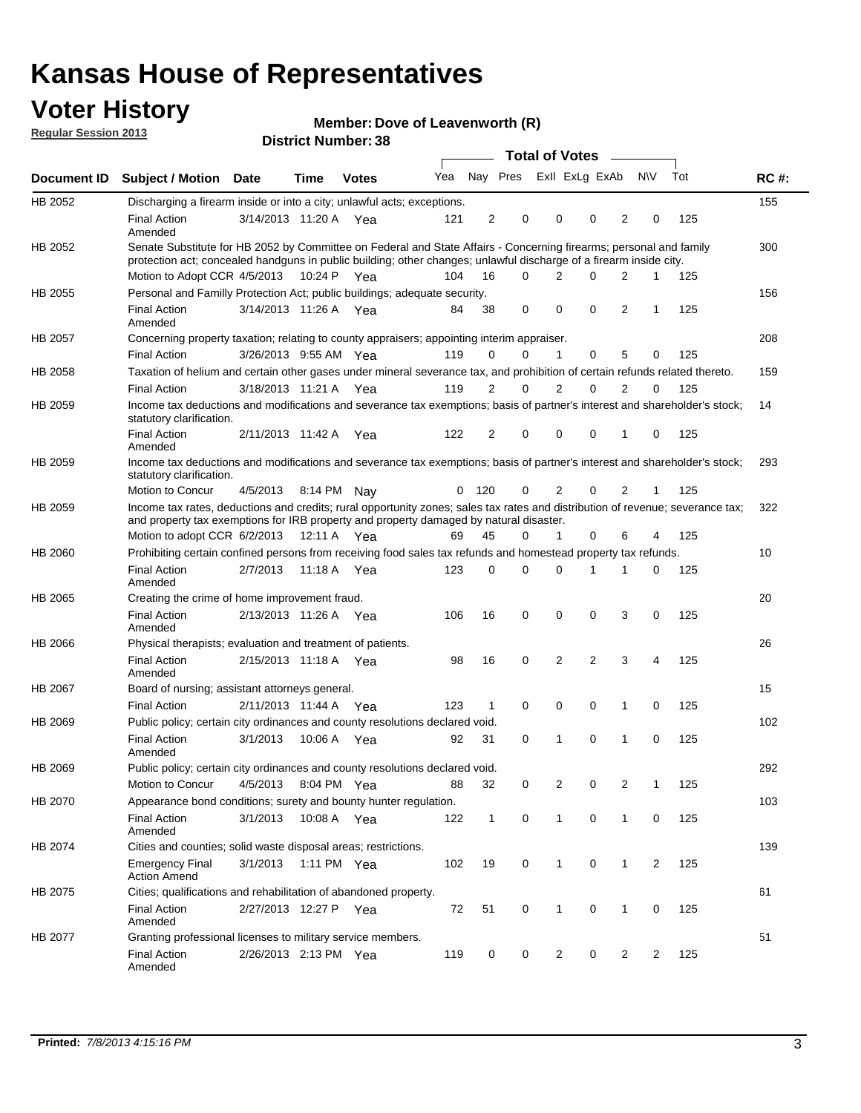### **Voter History**

**Member: Dove of Leavenworth (R)** 

**Regular Session 2013**

|                |                                                                                                                                                                                                                                          |                       |             |              |              |                |          | <b>Total of Votes</b> |                |                |                |     |             |
|----------------|------------------------------------------------------------------------------------------------------------------------------------------------------------------------------------------------------------------------------------------|-----------------------|-------------|--------------|--------------|----------------|----------|-----------------------|----------------|----------------|----------------|-----|-------------|
| Document ID    | <b>Subject / Motion Date</b>                                                                                                                                                                                                             |                       | Time        | <b>Votes</b> | Yea          | Nay Pres       |          | Exll ExLg ExAb        |                |                | N\V            | Tot | <b>RC#:</b> |
| HB 2052        | Discharging a firearm inside or into a city; unlawful acts; exceptions.                                                                                                                                                                  |                       |             |              |              |                |          |                       |                |                |                |     | 155         |
|                | <b>Final Action</b><br>Amended                                                                                                                                                                                                           | 3/14/2013 11:20 A     |             | Yea          | 121          | $\overline{2}$ | 0        | 0                     | 0              | 2              | 0              | 125 |             |
| HB 2052        | Senate Substitute for HB 2052 by Committee on Federal and State Affairs - Concerning firearms; personal and family<br>protection act; concealed handguns in public building; other changes; unlawful discharge of a firearm inside city. |                       |             |              |              |                |          |                       |                |                |                |     | 300         |
|                | Motion to Adopt CCR 4/5/2013 10:24 P Yea                                                                                                                                                                                                 |                       |             |              | 104          | 16             | 0        | 2                     | $\Omega$       | 2              | $\mathbf{1}$   | 125 |             |
| HB 2055        | Personal and Familly Protection Act; public buildings; adequate security.                                                                                                                                                                |                       |             |              |              |                |          |                       |                |                |                |     | 156         |
|                | <b>Final Action</b><br>Amended                                                                                                                                                                                                           | 3/14/2013 11:26 A Yea |             |              | 84           | 38             | 0        | $\Omega$              | $\Omega$       | 2              | $\mathbf{1}$   | 125 |             |
| <b>HB 2057</b> | Concerning property taxation; relating to county appraisers; appointing interim appraiser.                                                                                                                                               |                       |             |              |              |                |          |                       |                |                |                |     | 208         |
|                | <b>Final Action</b>                                                                                                                                                                                                                      | 3/26/2013 9:55 AM Yea |             |              | 119          | 0              | $\Omega$ | 1                     | 0              | 5              | 0              | 125 |             |
| HB 2058        | Taxation of helium and certain other gases under mineral severance tax, and prohibition of certain refunds related thereto.                                                                                                              |                       |             |              |              |                |          |                       |                |                |                |     | 159         |
|                | <b>Final Action</b>                                                                                                                                                                                                                      | 3/18/2013 11:21 A     |             | Yea          | 119          | 2              | $\Omega$ | 2                     | 0              | 2              | 0              | 125 |             |
| HB 2059        | Income tax deductions and modifications and severance tax exemptions; basis of partner's interest and shareholder's stock;<br>statutory clarification.                                                                                   |                       |             |              |              |                |          |                       |                |                |                |     | 14          |
|                | <b>Final Action</b><br>Amended                                                                                                                                                                                                           | 2/11/2013 11:42 A     |             | Yea          | 122          | $\overline{2}$ | 0        | 0                     | 0              | 1              | 0              | 125 |             |
| HB 2059        | Income tax deductions and modifications and severance tax exemptions; basis of partner's interest and shareholder's stock;<br>statutory clarification.                                                                                   |                       |             |              |              |                |          |                       |                |                |                |     | 293         |
|                | Motion to Concur                                                                                                                                                                                                                         | 4/5/2013 8:14 PM Nav  |             |              | $\mathbf{0}$ | 120            | 0        | 2                     | 0              | 2              | 1              | 125 |             |
| HB 2059        | Income tax rates, deductions and credits; rural opportunity zones; sales tax rates and distribution of revenue; severance tax;<br>and property tax exemptions for IRB property and property damaged by natural disaster.                 |                       |             |              |              |                |          |                       |                |                |                |     | 322         |
|                | Motion to adopt CCR $6/2/2013$ 12:11 A Yea                                                                                                                                                                                               |                       |             |              | 69           | 45             | 0        | $\mathbf{1}$          | 0              | 6              | 4              | 125 |             |
| HB 2060        | Prohibiting certain confined persons from receiving food sales tax refunds and homestead property tax refunds.                                                                                                                           |                       |             |              |              |                |          |                       |                |                |                |     | 10          |
|                | <b>Final Action</b><br>Amended                                                                                                                                                                                                           | 2/7/2013              | 11:18 A     | Yea          | 123          | 0              | $\Omega$ | 0                     | 1              | 1              | 0              | 125 |             |
| HB 2065        | Creating the crime of home improvement fraud.                                                                                                                                                                                            |                       |             |              |              |                |          |                       |                |                |                |     | 20          |
|                | <b>Final Action</b><br>Amended                                                                                                                                                                                                           | 2/13/2013 11:26 A Yea |             |              | 106          | 16             | 0        | $\Omega$              | 0              | 3              | 0              | 125 |             |
| <b>HB 2066</b> | Physical therapists; evaluation and treatment of patients.                                                                                                                                                                               |                       |             |              |              |                |          |                       |                |                |                |     | 26          |
|                | <b>Final Action</b><br>Amended                                                                                                                                                                                                           | 2/15/2013 11:18 A Yea |             |              | 98           | 16             | 0        | 2                     | $\overline{2}$ | 3              | $\overline{4}$ | 125 |             |
| HB 2067        | Board of nursing; assistant attorneys general.                                                                                                                                                                                           |                       |             |              |              |                |          |                       |                |                |                |     | 15          |
|                | <b>Final Action</b>                                                                                                                                                                                                                      | 2/11/2013 11:44 A Yea |             |              | 123          | 1              | 0        | 0                     | 0              | 1              | 0              | 125 |             |
| HB 2069        | Public policy; certain city ordinances and county resolutions declared void.                                                                                                                                                             |                       |             |              |              |                |          |                       |                |                |                |     | 102         |
|                | <b>Final Action</b><br>Amended                                                                                                                                                                                                           | 3/1/2013              | 10:06 A     | Yea          | 92           | 31             | 0        | 1                     | 0              | $\mathbf{1}$   | 0              | 125 |             |
| HB 2069        | Public policy; certain city ordinances and county resolutions declared void.                                                                                                                                                             |                       |             |              |              |                |          |                       |                |                |                |     | 292         |
|                | Motion to Concur                                                                                                                                                                                                                         | 4/5/2013 8:04 PM Yea  |             |              | 88           | 32             | 0        | 2                     | 0              | 2              |                | 125 |             |
| HB 2070        | Appearance bond conditions; surety and bounty hunter regulation.                                                                                                                                                                         |                       |             |              |              |                |          |                       |                |                |                |     | 103         |
|                | <b>Final Action</b><br>Amended                                                                                                                                                                                                           | 3/1/2013              |             | 10:08 A Yea  | 122          | $\mathbf{1}$   | 0        | $\mathbf{1}$          | 0              | $\mathbf{1}$   | 0              | 125 |             |
| HB 2074        | Cities and counties; solid waste disposal areas; restrictions.                                                                                                                                                                           |                       |             |              |              |                |          |                       |                |                |                |     | 139         |
|                | <b>Emergency Final</b><br><b>Action Amend</b>                                                                                                                                                                                            | 3/1/2013              | 1:11 PM Yea |              | 102          | 19             | 0        | 1                     | 0              | 1              | $\overline{2}$ | 125 |             |
| HB 2075        | Cities; qualifications and rehabilitation of abandoned property.                                                                                                                                                                         |                       |             |              |              |                |          |                       |                |                |                |     | 61          |
|                | <b>Final Action</b><br>Amended                                                                                                                                                                                                           | 2/27/2013 12:27 P Yea |             |              | 72           | 51             | 0        | $\mathbf{1}$          | 0              | $\mathbf{1}$   | 0              | 125 |             |
| HB 2077        | Granting professional licenses to military service members.                                                                                                                                                                              |                       |             |              |              |                |          |                       |                |                |                |     | 51          |
|                | <b>Final Action</b><br>Amended                                                                                                                                                                                                           | 2/26/2013 2:13 PM Yea |             |              | 119          | 0              | 0        | $\overline{c}$        | 0              | $\overline{c}$ | $\overline{c}$ | 125 |             |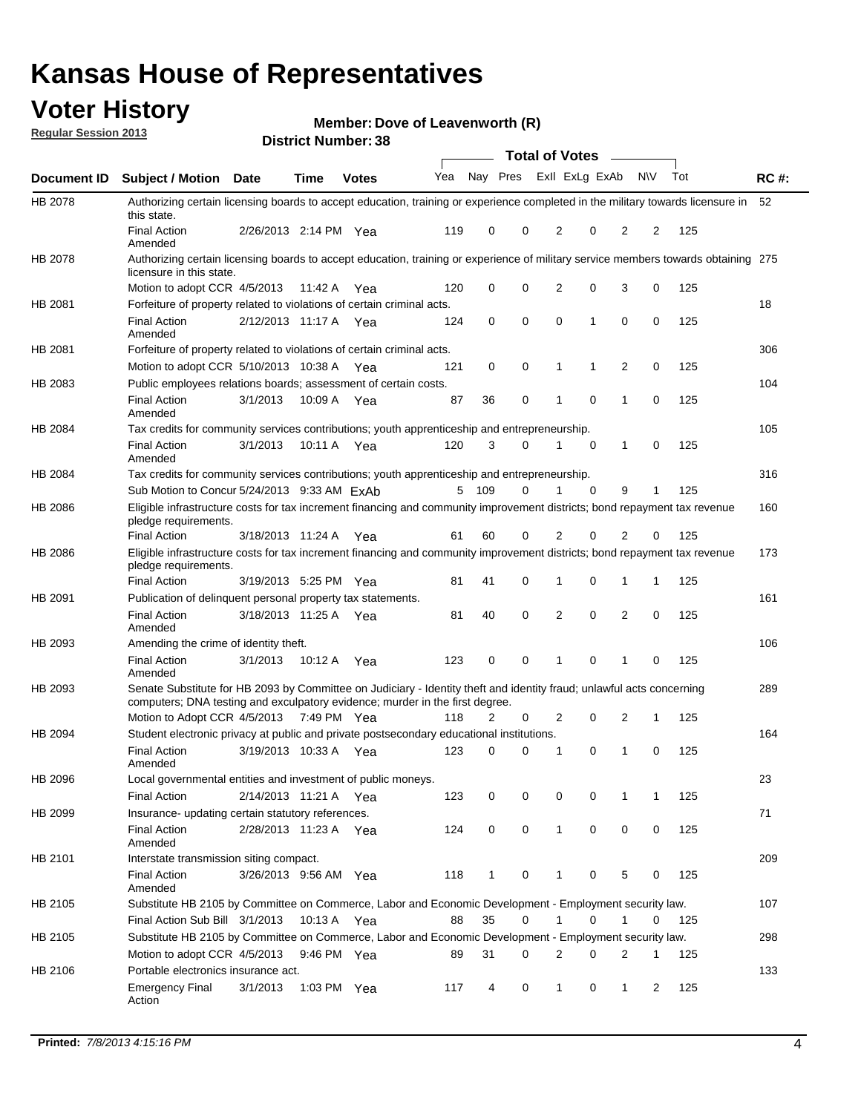### **Voter History**

**Member: Dove of Leavenworth (R)** 

**Regular Session 2013**

|                    |                                                                                                                                                                                                       |                       |             | טט, וסעווווטקו, טע |              |              |   | <b>Total of Votes</b> |             | $\sim$         |             |     |             |
|--------------------|-------------------------------------------------------------------------------------------------------------------------------------------------------------------------------------------------------|-----------------------|-------------|--------------------|--------------|--------------|---|-----------------------|-------------|----------------|-------------|-----|-------------|
| <b>Document ID</b> | <b>Subject / Motion Date</b>                                                                                                                                                                          |                       | <b>Time</b> | <b>Votes</b>       | Yea Nay Pres |              |   | Exll ExLg ExAb        |             |                | <b>NV</b>   | Tot | <b>RC#:</b> |
| HB 2078            | Authorizing certain licensing boards to accept education, training or experience completed in the military towards licensure in<br>this state.                                                        |                       |             |                    |              |              |   |                       |             |                |             |     | 52          |
|                    | <b>Final Action</b><br>Amended                                                                                                                                                                        | 2/26/2013 2:14 PM Yea |             |                    | 119          | 0            | 0 | 2                     | 0           | 2              | 2           | 125 |             |
| HB 2078            | Authorizing certain licensing boards to accept education, training or experience of military service members towards obtaining 275<br>licensure in this state.                                        |                       |             |                    |              |              |   |                       |             |                |             |     |             |
|                    | Motion to adopt CCR 4/5/2013                                                                                                                                                                          |                       | 11:42 A     | Yea                | 120          | 0            | 0 | $\overline{2}$        | 0           | 3              | 0           | 125 |             |
| HB 2081            | Forfeiture of property related to violations of certain criminal acts.                                                                                                                                |                       |             |                    |              |              |   |                       |             |                |             |     | 18          |
|                    | <b>Final Action</b><br>Amended                                                                                                                                                                        | 2/12/2013 11:17 A Yea |             |                    | 124          | 0            | 0 | $\Omega$              | 1           | 0              | 0           | 125 |             |
| HB 2081            | Forfeiture of property related to violations of certain criminal acts.                                                                                                                                |                       |             |                    |              |              |   |                       |             |                |             |     | 306         |
|                    | Motion to adopt CCR 5/10/2013 10:38 A                                                                                                                                                                 |                       |             | Yea                | 121          | 0            | 0 | 1                     | 1           | 2              | 0           | 125 |             |
| HB 2083            | Public employees relations boards; assessment of certain costs.                                                                                                                                       |                       |             |                    |              |              |   |                       |             |                |             |     | 104         |
|                    | <b>Final Action</b><br>Amended                                                                                                                                                                        | 3/1/2013              | 10:09 A     | Yea                | 87           | 36           | 0 | 1                     | $\mathbf 0$ | 1              | $\mathbf 0$ | 125 |             |
| HB 2084            | Tax credits for community services contributions; youth apprenticeship and entrepreneurship.                                                                                                          |                       |             |                    |              |              |   |                       |             |                |             |     | 105         |
|                    | <b>Final Action</b><br>Amended                                                                                                                                                                        | 3/1/2013              | 10:11 A     | Yea                | 120          | 3            | 0 | 1                     | $\mathbf 0$ | 1              | 0           | 125 |             |
| HB 2084            | Tax credits for community services contributions; youth apprenticeship and entrepreneurship.                                                                                                          |                       |             |                    |              |              |   |                       |             |                |             |     | 316         |
|                    | Sub Motion to Concur 5/24/2013 9:33 AM ExAb                                                                                                                                                           |                       |             |                    | 5            | 109          | 0 |                       | $\Omega$    | 9              | 1           | 125 |             |
| HB 2086            | Eligible infrastructure costs for tax increment financing and community improvement districts; bond repayment tax revenue<br>pledge requirements.                                                     |                       |             |                    |              |              |   |                       |             |                |             |     | 160         |
|                    | <b>Final Action</b>                                                                                                                                                                                   | 3/18/2013 11:24 A     |             | Yea                | 61           | 60           | 0 | 2                     | 0           | $\overline{2}$ | 0           | 125 |             |
| HB 2086            | Eligible infrastructure costs for tax increment financing and community improvement districts; bond repayment tax revenue<br>pledge requirements.                                                     |                       |             |                    |              |              |   |                       |             |                |             |     | 173         |
|                    | <b>Final Action</b>                                                                                                                                                                                   | 3/19/2013 5:25 PM Yea |             |                    | 81           | 41           | 0 | 1                     | 0           | 1              | 1           | 125 |             |
| HB 2091            | Publication of delinguent personal property tax statements.                                                                                                                                           |                       |             |                    |              |              |   |                       |             |                |             |     | 161         |
|                    | <b>Final Action</b><br>Amended                                                                                                                                                                        | 3/18/2013 11:25 A     |             | Yea                | 81           | 40           | 0 | 2                     | 0           | $\overline{2}$ | 0           | 125 |             |
| HB 2093            | Amending the crime of identity theft.                                                                                                                                                                 |                       |             |                    |              |              |   |                       |             |                |             |     | 106         |
|                    | <b>Final Action</b><br>Amended                                                                                                                                                                        | 3/1/2013              | 10:12 A     | Yea                | 123          | 0            | 0 | 1                     | $\Omega$    | 1              | 0           | 125 |             |
| HB 2093            | Senate Substitute for HB 2093 by Committee on Judiciary - Identity theft and identity fraud; unlawful acts concerning<br>computers; DNA testing and exculpatory evidence; murder in the first degree. |                       |             |                    |              |              |   |                       |             |                |             |     | 289         |
|                    | Motion to Adopt CCR 4/5/2013 7:49 PM Yea                                                                                                                                                              |                       |             |                    | 118          | 2            | 0 | 2                     | 0           | 2              | 1           | 125 |             |
| HB 2094            | Student electronic privacy at public and private postsecondary educational institutions.                                                                                                              |                       |             |                    |              |              |   |                       |             |                |             |     | 164         |
|                    | <b>Final Action</b><br>Amended                                                                                                                                                                        | 3/19/2013 10:33 A     |             | Yea                | 123          | 0            | 0 | 1                     | 0           | 1              | 0           | 125 |             |
| HB 2096            | Local governmental entities and investment of public moneys.                                                                                                                                          |                       |             |                    |              |              |   |                       |             |                |             |     | 23          |
|                    | <b>Final Action</b>                                                                                                                                                                                   | 2/14/2013 11:21 A     |             | Yea                | 123          | 0            | 0 | 0                     | 0           | 1              | 1           | 125 |             |
| HB 2099            | Insurance- updating certain statutory references.                                                                                                                                                     |                       |             |                    |              |              |   |                       |             |                |             |     | 71          |
|                    | <b>Final Action</b><br>Amended                                                                                                                                                                        | 2/28/2013 11:23 A     |             | Yea                | 124          | 0            | 0 | 1                     | 0           | 0              | 0           | 125 |             |
| HB 2101            | Interstate transmission siting compact.                                                                                                                                                               |                       |             |                    |              |              |   |                       |             |                |             |     | 209         |
|                    | <b>Final Action</b><br>Amended                                                                                                                                                                        | 3/26/2013 9:56 AM Yea |             |                    | 118          | $\mathbf{1}$ | 0 | 1                     | 0           | 5              | 0           | 125 |             |
| HB 2105            | Substitute HB 2105 by Committee on Commerce, Labor and Economic Development - Employment security law.                                                                                                |                       |             |                    |              |              |   |                       |             |                |             |     | 107         |
|                    | Final Action Sub Bill 3/1/2013                                                                                                                                                                        |                       | 10:13 A Yea |                    | 88           | 35           | 0 |                       | 0           | 1              | 0           | 125 |             |
| HB 2105            | Substitute HB 2105 by Committee on Commerce, Labor and Economic Development - Employment security law.                                                                                                |                       |             |                    |              |              |   |                       |             |                |             |     | 298         |
|                    | Motion to adopt CCR 4/5/2013                                                                                                                                                                          |                       | 9:46 PM Yea |                    | 89           | 31           | 0 | 2                     | 0           | 2              | 1           | 125 |             |
| HB 2106            | Portable electronics insurance act.                                                                                                                                                                   |                       |             |                    |              |              |   |                       |             |                |             |     | 133         |
|                    | <b>Emergency Final</b><br>Action                                                                                                                                                                      | 3/1/2013              | 1:03 PM Yea |                    | 117          | 4            | 0 | $\mathbf{1}$          | 0           | 1              | 2           | 125 |             |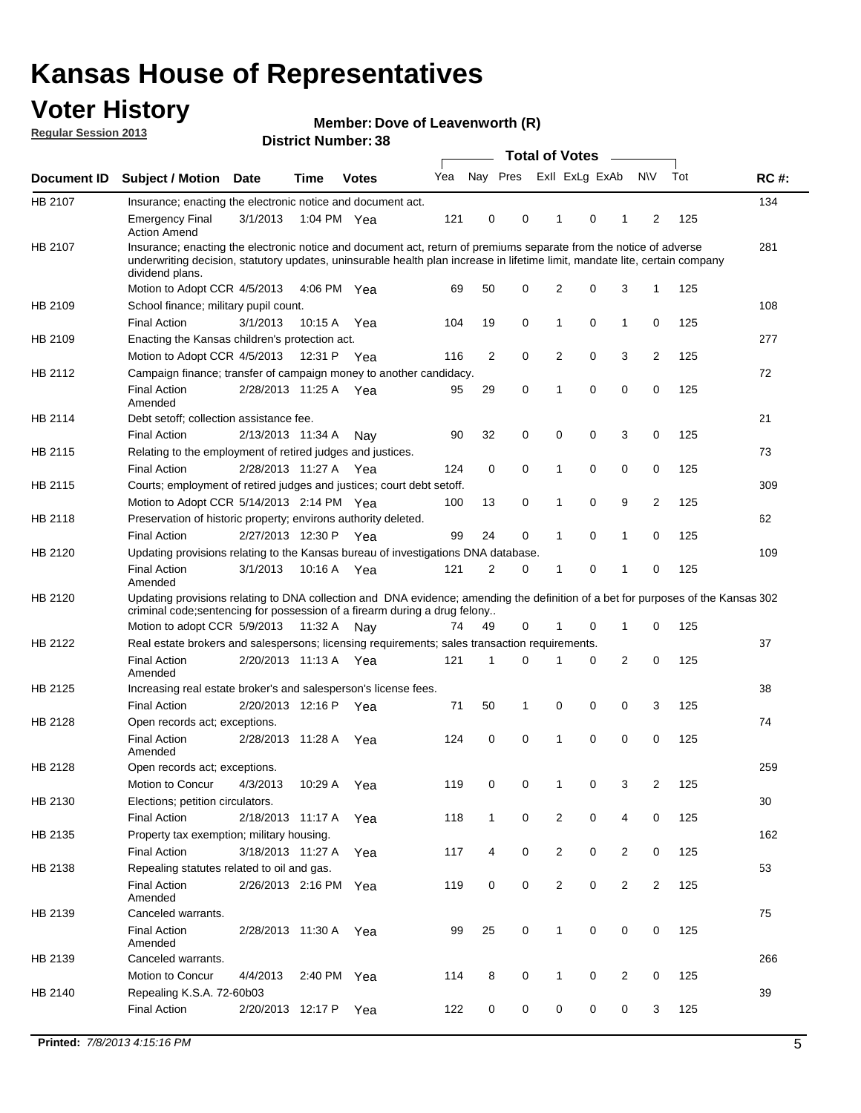### **Voter History**

**Member: Dove of Leavenworth (R)** 

**Regular Session 2013**

|             |                                                                                                                                                                                                                                                                      |                       | PIJU IVI INUHIDGI . JU |              |     |              | <b>Total of Votes</b> |                |   | $\sim$         |                |     |             |
|-------------|----------------------------------------------------------------------------------------------------------------------------------------------------------------------------------------------------------------------------------------------------------------------|-----------------------|------------------------|--------------|-----|--------------|-----------------------|----------------|---|----------------|----------------|-----|-------------|
| Document ID | <b>Subject / Motion Date</b>                                                                                                                                                                                                                                         |                       | <b>Time</b>            | <b>Votes</b> | Yea | Nay Pres     |                       | Exll ExLg ExAb |   |                | <b>NV</b>      | Tot | <b>RC#:</b> |
| HB 2107     | Insurance; enacting the electronic notice and document act.                                                                                                                                                                                                          |                       |                        |              |     |              |                       |                |   |                |                |     | 134         |
|             | <b>Emergency Final</b><br><b>Action Amend</b>                                                                                                                                                                                                                        | 3/1/2013              | 1:04 PM Yea            |              | 121 | 0            | 0                     | 1              | 0 | 1              | 2              | 125 |             |
| HB 2107     | Insurance; enacting the electronic notice and document act, return of premiums separate from the notice of adverse<br>underwriting decision, statutory updates, uninsurable health plan increase in lifetime limit, mandate lite, certain company<br>dividend plans. |                       |                        |              |     |              |                       |                |   |                |                |     | 281         |
|             | Motion to Adopt CCR 4/5/2013                                                                                                                                                                                                                                         |                       | 4:06 PM Yea            |              | 69  | 50           | 0                     | 2              | 0 | 3              | $\mathbf{1}$   | 125 |             |
| HB 2109     | School finance; military pupil count.                                                                                                                                                                                                                                |                       |                        |              |     |              |                       |                |   |                |                |     | 108         |
|             | <b>Final Action</b>                                                                                                                                                                                                                                                  | 3/1/2013              | 10:15 A                | Yea          | 104 | 19           | 0                     | 1              | 0 | $\mathbf{1}$   | 0              | 125 |             |
| HB 2109     | Enacting the Kansas children's protection act.                                                                                                                                                                                                                       |                       |                        |              |     |              |                       |                |   |                |                |     | 277         |
|             | Motion to Adopt CCR 4/5/2013                                                                                                                                                                                                                                         |                       | 12:31 P Yea            |              | 116 | 2            | 0                     | $\overline{2}$ | 0 | 3              | 2              | 125 |             |
| HB 2112     | Campaign finance; transfer of campaign money to another candidacy.                                                                                                                                                                                                   |                       |                        |              |     |              |                       |                |   |                |                |     | 72          |
|             | <b>Final Action</b><br>Amended                                                                                                                                                                                                                                       | 2/28/2013 11:25 A Yea |                        |              | 95  | 29           | 0                     | 1              | 0 | 0              | 0              | 125 |             |
| HB 2114     | Debt setoff; collection assistance fee.                                                                                                                                                                                                                              |                       |                        |              |     |              |                       |                |   |                |                |     | 21          |
|             | <b>Final Action</b>                                                                                                                                                                                                                                                  | 2/13/2013 11:34 A     |                        | Nay          | 90  | 32           | 0                     | 0              | 0 | 3              | 0              | 125 |             |
| HB 2115     | Relating to the employment of retired judges and justices.                                                                                                                                                                                                           |                       |                        |              |     |              |                       |                |   |                |                |     | 73          |
|             | <b>Final Action</b>                                                                                                                                                                                                                                                  | 2/28/2013 11:27 A     |                        | Yea          | 124 | 0            | 0                     | 1              | 0 | 0              | 0              | 125 |             |
| HB 2115     | Courts; employment of retired judges and justices; court debt setoff.                                                                                                                                                                                                |                       |                        |              |     |              |                       |                |   |                |                |     | 309         |
|             | Motion to Adopt CCR 5/14/2013 2:14 PM Yea                                                                                                                                                                                                                            |                       |                        |              | 100 | 13           | 0                     | 1              | 0 | 9              | 2              | 125 |             |
| HB 2118     | Preservation of historic property; environs authority deleted.                                                                                                                                                                                                       |                       |                        |              |     |              |                       |                |   |                |                |     | 62          |
|             | <b>Final Action</b>                                                                                                                                                                                                                                                  | 2/27/2013 12:30 P     |                        | Yea          | 99  | 24           | 0                     | 1              | 0 | 1              | 0              | 125 |             |
| HB 2120     | Updating provisions relating to the Kansas bureau of investigations DNA database.                                                                                                                                                                                    |                       |                        |              |     |              |                       |                |   |                |                |     | 109         |
|             | <b>Final Action</b><br>Amended                                                                                                                                                                                                                                       | 3/1/2013              | 10:16 A                | Yea          | 121 | 2            | 0                     | 1              | 0 | 1              | 0              | 125 |             |
| HB 2120     | Updating provisions relating to DNA collection and DNA evidence; amending the definition of a bet for purposes of the Kansas 302<br>criminal code; sentencing for possession of a firearm during a drug felony                                                       |                       |                        |              |     |              |                       |                |   |                |                |     |             |
|             | Motion to adopt CCR 5/9/2013 11:32 A                                                                                                                                                                                                                                 |                       |                        | Nav          | 74  | 49           | 0                     | 1              | 0 | $\mathbf 1$    | 0              | 125 |             |
| HB 2122     | Real estate brokers and salespersons; licensing requirements; sales transaction requirements.                                                                                                                                                                        |                       |                        |              |     |              |                       |                |   |                |                |     | 37          |
|             | <b>Final Action</b><br>Amended                                                                                                                                                                                                                                       | 2/20/2013 11:13 A Yea |                        |              | 121 | 1            | 0                     |                | 0 | 2              | 0              | 125 |             |
| HB 2125     | Increasing real estate broker's and salesperson's license fees.                                                                                                                                                                                                      |                       |                        |              |     |              |                       |                |   |                |                |     | 38          |
|             | <b>Final Action</b>                                                                                                                                                                                                                                                  | 2/20/2013 12:16 P     |                        | Yea          | 71  | 50           | 1                     | 0              | 0 | 0              | 3              | 125 |             |
| HB 2128     | Open records act; exceptions.                                                                                                                                                                                                                                        |                       |                        |              |     |              |                       |                |   |                |                |     | 74          |
|             | <b>Final Action</b><br>Amended                                                                                                                                                                                                                                       | 2/28/2013 11:28 A     |                        | Yea          | 124 | 0            | 0                     | 1              | 0 | 0              | 0              | 125 |             |
| HB 2128     | Open records act; exceptions.                                                                                                                                                                                                                                        |                       |                        |              |     |              |                       |                |   |                |                |     | 259         |
|             | Motion to Concur                                                                                                                                                                                                                                                     | 4/3/2013              | 10:29 A                | Yea          | 119 | 0            | 0                     | 1              | 0 | 3              | 2              | 125 |             |
| HB 2130     | Elections; petition circulators.                                                                                                                                                                                                                                     |                       |                        |              |     |              |                       |                |   |                |                |     | 30          |
|             | <b>Final Action</b>                                                                                                                                                                                                                                                  | 2/18/2013 11:17 A     |                        | Yea          | 118 | $\mathbf{1}$ | 0                     | $\overline{c}$ | 0 | 4              | 0              | 125 |             |
| HB 2135     | Property tax exemption; military housing.                                                                                                                                                                                                                            |                       |                        |              |     |              |                       |                |   |                |                |     | 162         |
|             | <b>Final Action</b>                                                                                                                                                                                                                                                  | 3/18/2013 11:27 A     |                        | Yea          | 117 | 4            | 0                     | $\overline{2}$ | 0 | $\overline{2}$ | 0              | 125 |             |
| HB 2138     | Repealing statutes related to oil and gas.                                                                                                                                                                                                                           |                       |                        |              |     |              |                       |                |   |                |                |     | 53          |
|             | <b>Final Action</b><br>Amended                                                                                                                                                                                                                                       | 2/26/2013 2:16 PM Yea |                        |              | 119 | 0            | 0                     | $\overline{2}$ | 0 | $\overline{2}$ | $\overline{2}$ | 125 |             |
| HB 2139     | Canceled warrants.                                                                                                                                                                                                                                                   |                       |                        |              |     |              |                       |                |   |                |                |     | 75          |
|             | <b>Final Action</b><br>Amended                                                                                                                                                                                                                                       | 2/28/2013 11:30 A     |                        | Yea          | 99  | 25           | 0                     | 1              | 0 | 0              | 0              | 125 |             |
| HB 2139     | Canceled warrants.                                                                                                                                                                                                                                                   |                       |                        |              |     |              |                       |                |   |                |                |     | 266         |
|             | Motion to Concur                                                                                                                                                                                                                                                     | 4/4/2013              | 2:40 PM Yea            |              | 114 | 8            | 0                     | 1              | 0 | 2              | 0              | 125 |             |
| HB 2140     | Repealing K.S.A. 72-60b03                                                                                                                                                                                                                                            |                       |                        |              |     |              |                       |                |   |                |                |     | 39          |
|             | <b>Final Action</b>                                                                                                                                                                                                                                                  | 2/20/2013 12:17 P     |                        | Yea          | 122 | 0            | 0                     | 0              | 0 | 0              | 3              | 125 |             |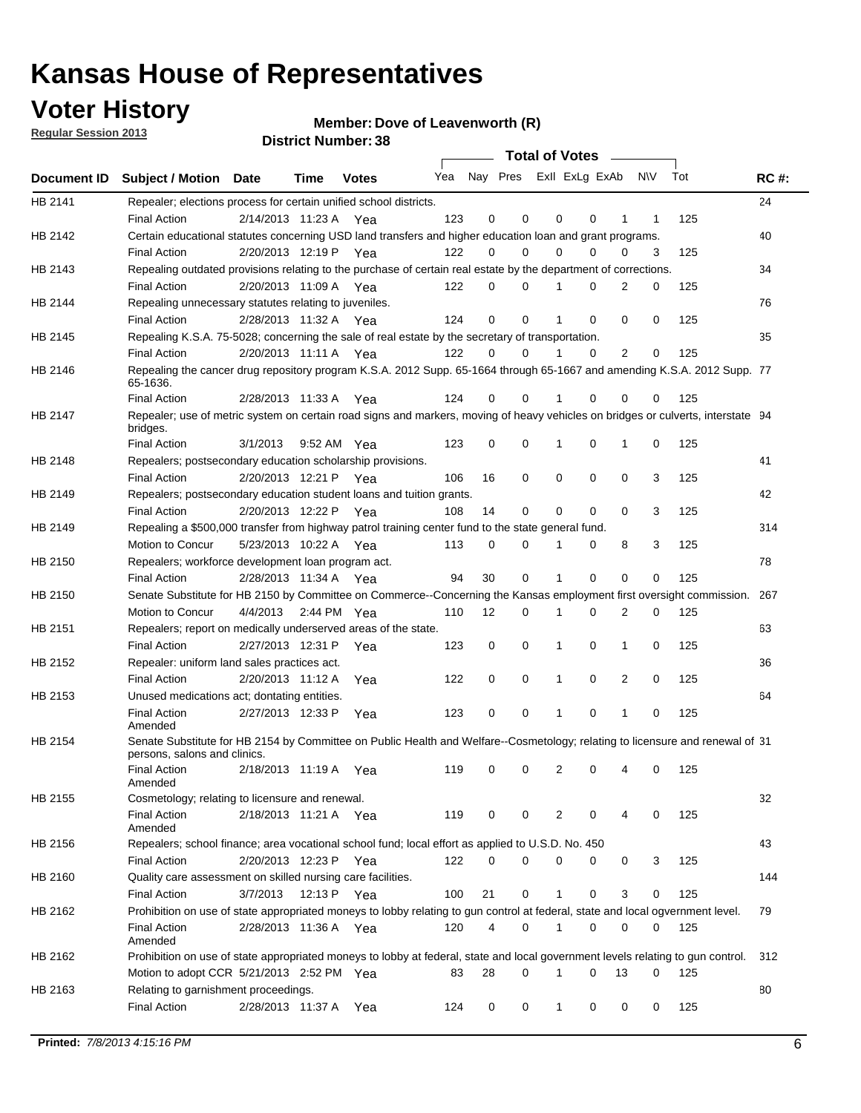### **Voter History**

**Member: Dove of Leavenworth (R)** 

**Regular Session 2013**

|             |                                                                                                                                              |          |                       |              |     |             | <b>Total of Votes</b>   |              |   | $\sim 100$ m $^{-1}$ |           |     |             |
|-------------|----------------------------------------------------------------------------------------------------------------------------------------------|----------|-----------------------|--------------|-----|-------------|-------------------------|--------------|---|----------------------|-----------|-----|-------------|
| Document ID | <b>Subject / Motion Date</b>                                                                                                                 |          | Time                  | <b>Votes</b> | Yea |             | Nay Pres ExII ExLg ExAb |              |   |                      | <b>NV</b> | Tot | <b>RC#:</b> |
| HB 2141     | Repealer; elections process for certain unified school districts.                                                                            |          |                       |              |     |             |                         |              |   |                      |           |     | 24          |
|             | <b>Final Action</b>                                                                                                                          |          | 2/14/2013 11:23 A Yea |              | 123 | 0           | 0                       | 0            | 0 | 1                    | 1         | 125 |             |
| HB 2142     | Certain educational statutes concerning USD land transfers and higher education loan and grant programs.                                     |          |                       |              |     |             |                         |              |   |                      |           |     | 40          |
|             | <b>Final Action</b>                                                                                                                          |          | 2/20/2013 12:19 P Yea |              | 122 | 0           | 0                       | $\Omega$     | 0 | $\Omega$             | 3         | 125 |             |
| HB 2143     | Repealing outdated provisions relating to the purchase of certain real estate by the department of corrections.                              |          |                       |              |     |             |                         |              |   |                      |           |     | 34          |
|             | <b>Final Action</b>                                                                                                                          |          | 2/20/2013 11:09 A Yea |              | 122 | 0           | 0                       | 1            | 0 | $\overline{2}$       | 0         | 125 |             |
| HB 2144     | Repealing unnecessary statutes relating to juveniles.                                                                                        |          |                       |              |     |             |                         |              |   |                      |           |     | 76          |
|             | <b>Final Action</b>                                                                                                                          |          | 2/28/2013 11:32 A Yea |              | 124 | $\mathbf 0$ | 0                       | 1            | 0 | 0                    | 0         | 125 |             |
| HB 2145     | Repealing K.S.A. 75-5028; concerning the sale of real estate by the secretary of transportation.                                             |          |                       |              |     |             |                         |              |   |                      |           |     | 35          |
|             | <b>Final Action</b>                                                                                                                          |          | 2/20/2013 11:11 A Yea |              | 122 | 0           | 0                       | 1            | 0 | 2                    | 0         | 125 |             |
| HB 2146     | Repealing the cancer drug repository program K.S.A. 2012 Supp. 65-1664 through 65-1667 and amending K.S.A. 2012 Supp. 77<br>65-1636.         |          |                       |              |     |             |                         |              |   |                      |           |     |             |
|             | <b>Final Action</b>                                                                                                                          |          | 2/28/2013 11:33 A     | Yea          | 124 | 0           | 0                       | 1            | 0 | 0                    | 0         | 125 |             |
| HB 2147     | Repealer; use of metric system on certain road signs and markers, moving of heavy vehicles on bridges or culverts, interstate 94<br>bridges. |          |                       |              |     |             |                         |              |   |                      |           |     |             |
|             | <b>Final Action</b>                                                                                                                          | 3/1/2013 |                       | 9:52 AM Yea  | 123 | $\mathbf 0$ | 0                       |              | 0 | 1                    | 0         | 125 |             |
| HB 2148     | Repealers; postsecondary education scholarship provisions.                                                                                   |          |                       |              |     |             |                         |              |   |                      |           |     | 41          |
|             | <b>Final Action</b>                                                                                                                          |          | 2/20/2013 12:21 P     | Yea          | 106 | 16          | 0                       | $\mathbf 0$  | 0 | $\mathbf 0$          | 3         | 125 |             |
| HB 2149     | Repealers; postsecondary education student loans and tuition grants.                                                                         |          |                       |              |     |             |                         |              |   |                      |           |     | 42          |
|             | <b>Final Action</b>                                                                                                                          |          | 2/20/2013 12:22 P     | Yea          | 108 | 14          | 0                       | 0            | 0 | $\Omega$             | 3         | 125 |             |
| HB 2149     | Repealing a \$500,000 transfer from highway patrol training center fund to the state general fund.                                           |          |                       |              |     |             |                         |              |   |                      |           |     | 314         |
|             | Motion to Concur                                                                                                                             |          | 5/23/2013 10:22 A Yea |              | 113 | 0           | 0                       |              | 0 | 8                    | 3         | 125 |             |
| HB 2150     | Repealers; workforce development loan program act.                                                                                           |          |                       |              |     |             |                         |              |   |                      |           |     | 78          |
|             | <b>Final Action</b>                                                                                                                          |          | 2/28/2013 11:34 A Yea |              | 94  | 30          | 0                       | 1            | 0 | 0                    | 0         | 125 |             |
| HB 2150     | Senate Substitute for HB 2150 by Committee on Commerce--Concerning the Kansas employment first oversight commission.                         |          |                       |              |     |             |                         |              |   |                      |           |     | 267         |
|             | Motion to Concur                                                                                                                             |          | 4/4/2013 2:44 PM Yea  |              | 110 | 12          | 0                       | 1            | 0 | 2                    | 0         | 125 |             |
| HB 2151     | Repealers; report on medically underserved areas of the state.                                                                               |          |                       |              |     |             |                         |              |   |                      |           |     | 63          |
|             | <b>Final Action</b>                                                                                                                          |          | 2/27/2013 12:31 P     | Yea          | 123 | 0           | 0                       | 1            | 0 | 1                    | 0         | 125 |             |
| HB 2152     | Repealer: uniform land sales practices act.                                                                                                  |          |                       |              |     |             |                         |              |   |                      |           |     | 36          |
|             | <b>Final Action</b>                                                                                                                          |          | 2/20/2013 11:12 A     | Yea          | 122 | 0           | 0                       | 1            | 0 | 2                    | 0         | 125 |             |
| HB 2153     | Unused medications act; dontating entities.                                                                                                  |          |                       |              |     |             |                         |              |   |                      |           |     | 64          |
|             | <b>Final Action</b><br>Amended                                                                                                               |          | 2/27/2013 12:33 P     | Yea          | 123 | 0           | 0                       | 1            | 0 | 1                    | 0         | 125 |             |
| HB 2154     | Senate Substitute for HB 2154 by Committee on Public Health and Welfare--Cosmetology; relating to licensure and renewal of 31                |          |                       |              |     |             |                         |              |   |                      |           |     |             |
|             | persons, salons and clinics.                                                                                                                 |          |                       |              |     |             |                         |              |   |                      |           |     |             |
|             | <b>Final Action</b><br>Amended                                                                                                               |          | 2/18/2013 11:19 A     | Yea          | 119 | 0           | 0                       | 2            | 0 | 4                    | 0         | 125 |             |
| HB 2155     | Cosmetology; relating to licensure and renewal.                                                                                              |          |                       |              |     |             |                         |              |   |                      |           |     | 32          |
|             | <b>Final Action</b><br>Amended                                                                                                               |          | 2/18/2013 11:21 A Yea |              | 119 | 0           | 0                       | 2            | 0 |                      | 0         | 125 |             |
| HB 2156     | Repealers; school finance; area vocational school fund; local effort as applied to U.S.D. No. 450                                            |          |                       |              |     |             |                         |              |   |                      |           |     | 43          |
|             | <b>Final Action</b>                                                                                                                          |          | 2/20/2013 12:23 P Yea |              | 122 | 0           | 0                       | 0            | 0 | 0                    | 3         | 125 |             |
| HB 2160     | Quality care assessment on skilled nursing care facilities.                                                                                  |          |                       |              |     |             |                         |              |   |                      |           |     | 144         |
|             | <b>Final Action</b>                                                                                                                          | 3/7/2013 |                       | 12:13 P Yea  | 100 | 21          | 0                       | 1            | 0 | 3                    | 0         | 125 |             |
|             |                                                                                                                                              |          |                       |              |     |             |                         |              |   |                      |           |     | 79          |
| HB 2162     | Prohibition on use of state appropriated moneys to lobby relating to gun control at federal, state and local ogvernment level.               |          |                       |              |     |             |                         |              |   |                      |           |     |             |
|             | <b>Final Action</b><br>Amended                                                                                                               |          | 2/28/2013 11:36 A Yea |              | 120 | 4           | 0                       | 1            | 0 | 0                    | 0         | 125 |             |
| HB 2162     | Prohibition on use of state appropriated moneys to lobby at federal, state and local government levels relating to gun control.              |          |                       |              |     |             |                         |              |   |                      |           |     | 312         |
|             | Motion to adopt CCR 5/21/2013 2:52 PM Yea                                                                                                    |          |                       |              | 83  | 28          | 0                       |              | 0 | 13                   | 0         | 125 |             |
| HB 2163     | Relating to garnishment proceedings.                                                                                                         |          |                       |              |     |             |                         |              |   |                      |           |     | 80          |
|             | <b>Final Action</b>                                                                                                                          |          | 2/28/2013 11:37 A Yea |              | 124 | 0           | 0                       | $\mathbf{1}$ | 0 | 0                    | 0         | 125 |             |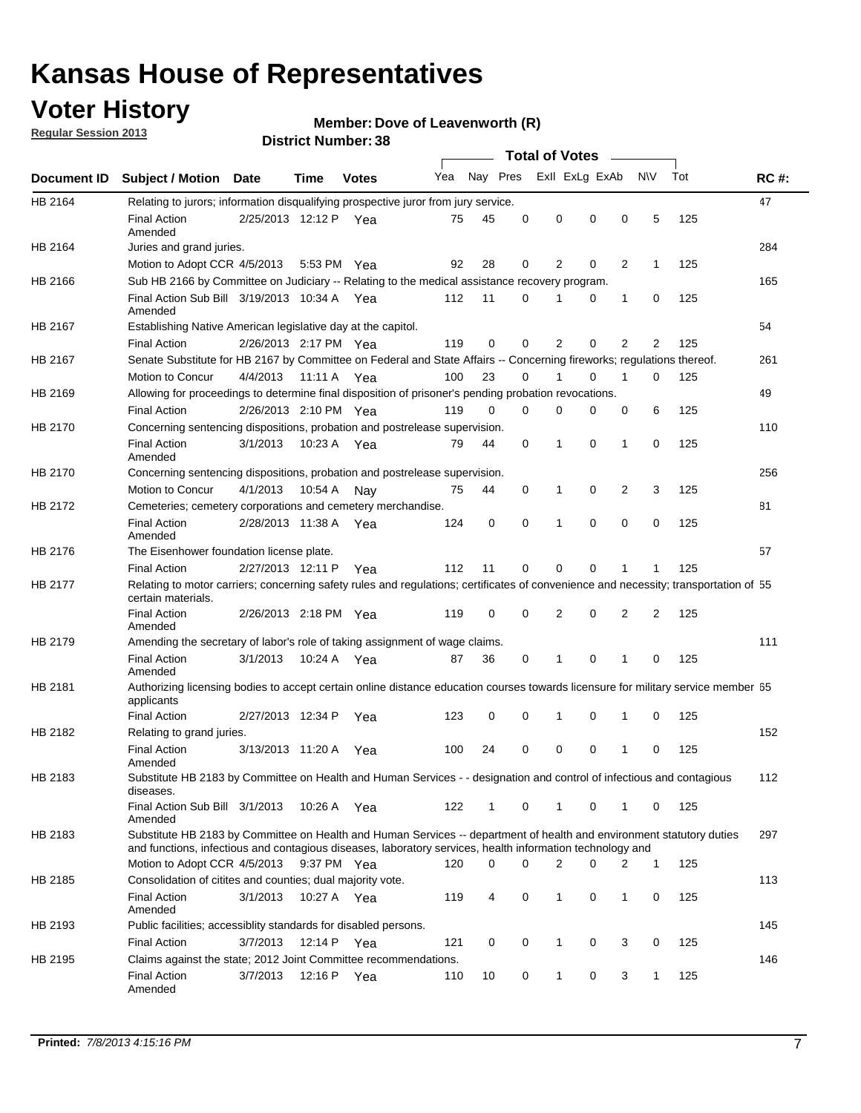### **Voter History**

**Member: Dove of Leavenworth (R)** 

**Regular Session 2013**

|             |                                                                                                                                                                                                                                    |                       | טט, וסעוווארו ועו ווסוע |              |                             |              |          | <b>Total of Votes</b> |          | $\sim$         |           |     |             |
|-------------|------------------------------------------------------------------------------------------------------------------------------------------------------------------------------------------------------------------------------------|-----------------------|-------------------------|--------------|-----------------------------|--------------|----------|-----------------------|----------|----------------|-----------|-----|-------------|
| Document ID | Subject / Motion Date                                                                                                                                                                                                              |                       | <b>Time</b>             | <b>Votes</b> | Yea Nay Pres ExII ExLg ExAb |              |          |                       |          |                | <b>NV</b> | Tot | <b>RC#:</b> |
| HB 2164     | Relating to jurors; information disqualifying prospective juror from jury service.                                                                                                                                                 |                       |                         |              |                             |              |          |                       |          |                |           |     | 47          |
|             | <b>Final Action</b><br>Amended                                                                                                                                                                                                     | 2/25/2013 12:12 P Yea |                         |              | 75                          | 45           | 0        | $\mathbf 0$           | 0        | 0              | 5         | 125 |             |
| HB 2164     | Juries and grand juries.                                                                                                                                                                                                           |                       |                         |              |                             |              |          |                       |          |                |           |     | 284         |
|             | Motion to Adopt CCR 4/5/2013                                                                                                                                                                                                       |                       | 5:53 PM Yea             |              | 92                          | 28           | 0        | 2                     | 0        | $\overline{2}$ | 1         | 125 |             |
| HB 2166     | Sub HB 2166 by Committee on Judiciary -- Relating to the medical assistance recovery program.                                                                                                                                      |                       |                         |              |                             |              |          |                       |          |                |           |     | 165         |
|             | Final Action Sub Bill 3/19/2013 10:34 A Yea<br>Amended                                                                                                                                                                             |                       |                         |              | 112                         | 11           | $\Omega$ |                       | 0        | $\mathbf{1}$   | 0         | 125 |             |
| HB 2167     | Establishing Native American legislative day at the capitol.                                                                                                                                                                       |                       |                         |              |                             |              |          |                       |          |                |           |     | 54          |
|             | <b>Final Action</b>                                                                                                                                                                                                                | 2/26/2013 2:17 PM Yea |                         |              | 119                         | 0            | $\Omega$ | $\overline{2}$        | 0        | $\overline{2}$ | 2         | 125 |             |
| HB 2167     | Senate Substitute for HB 2167 by Committee on Federal and State Affairs -- Concerning fireworks; regulations thereof.                                                                                                              |                       |                         |              |                             |              |          |                       |          |                |           |     | 261         |
|             | Motion to Concur                                                                                                                                                                                                                   | 4/4/2013              | 11:11 A Yea             |              | 100                         | 23           | 0        | 1                     | 0        | 1              | 0         | 125 |             |
| HB 2169     | Allowing for proceedings to determine final disposition of prisoner's pending probation revocations.                                                                                                                               |                       |                         |              |                             |              |          |                       |          |                |           |     | 49          |
|             | <b>Final Action</b>                                                                                                                                                                                                                | 2/26/2013 2:10 PM Yea |                         |              | 119                         | 0            | 0        | 0                     | 0        | 0              | 6         | 125 |             |
| HB 2170     | Concerning sentencing dispositions, probation and postrelease supervision.                                                                                                                                                         |                       |                         |              |                             |              |          |                       |          |                |           |     | 110         |
|             | <b>Final Action</b><br>Amended                                                                                                                                                                                                     | 3/1/2013              | 10:23 A Yea             |              | 79                          | 44           | 0        | 1                     | 0        | 1              | 0         | 125 |             |
| HB 2170     | Concerning sentencing dispositions, probation and postrelease supervision.                                                                                                                                                         |                       |                         |              |                             |              |          |                       |          |                |           |     | 256         |
|             | Motion to Concur                                                                                                                                                                                                                   | 4/1/2013              | 10:54 A                 | Nay          | 75                          | 44           | 0        | $\mathbf 1$           | 0        | $\overline{2}$ | 3         | 125 |             |
| HB 2172     | Cemeteries; cemetery corporations and cemetery merchandise.                                                                                                                                                                        |                       |                         |              |                             |              |          |                       |          |                |           |     | 81          |
|             | <b>Final Action</b><br>Amended                                                                                                                                                                                                     | 2/28/2013 11:38 A Yea |                         |              | 124                         | 0            | 0        | 1                     | $\Omega$ | $\Omega$       | 0         | 125 |             |
| HB 2176     | The Eisenhower foundation license plate.                                                                                                                                                                                           |                       |                         |              |                             |              |          |                       |          |                |           |     | 57          |
|             | <b>Final Action</b>                                                                                                                                                                                                                | 2/27/2013 12:11 P     |                         | Yea          | 112                         | 11           | 0        | 0                     | 0        | 1              | 1         | 125 |             |
| HB 2177     | Relating to motor carriers; concerning safety rules and regulations; certificates of convenience and necessity; transportation of 55<br>certain materials.                                                                         |                       |                         |              |                             |              |          |                       |          |                |           |     |             |
|             | <b>Final Action</b><br>Amended                                                                                                                                                                                                     | 2/26/2013 2:18 PM Yea |                         |              | 119                         | 0            | $\Omega$ | $\overline{2}$        | 0        | $\overline{2}$ | 2         | 125 |             |
| HB 2179     | Amending the secretary of labor's role of taking assignment of wage claims.                                                                                                                                                        |                       |                         |              |                             |              |          |                       |          |                |           |     | 111         |
|             | <b>Final Action</b><br>Amended                                                                                                                                                                                                     | 3/1/2013              | 10:24 A Yea             |              | 87                          | 36           | 0        | 1                     | $\Omega$ | 1              | 0         | 125 |             |
| HB 2181     | Authorizing licensing bodies to accept certain online distance education courses towards licensure for military service member 55<br>applicants                                                                                    |                       |                         |              |                             |              |          |                       |          |                |           |     |             |
|             | <b>Final Action</b>                                                                                                                                                                                                                | 2/27/2013 12:34 P     |                         | Yea          | 123                         | 0            | 0        | 1                     | 0        | 1              | 0         | 125 |             |
| HB 2182     | Relating to grand juries.                                                                                                                                                                                                          |                       |                         |              |                             |              |          |                       |          |                |           |     | 152         |
|             | <b>Final Action</b><br>Amended                                                                                                                                                                                                     | 3/13/2013 11:20 A     |                         | Yea          | 100                         | 24           | 0        | 0                     | 0        | 1              | 0         | 125 |             |
| HB 2183     | Substitute HB 2183 by Committee on Health and Human Services - - designation and control of infectious and contagious<br>diseases.                                                                                                 |                       |                         |              |                             |              |          |                       |          |                |           |     | 112         |
|             | Final Action Sub Bill 3/1/2013<br>Amended                                                                                                                                                                                          |                       | 10:26 A Yea             |              | 122                         | $\mathbf{1}$ | 0        | 1                     | 0        | 1              | 0         | 125 |             |
| HB 2183     | Substitute HB 2183 by Committee on Health and Human Services -- department of health and environment statutory duties<br>and functions, infectious and contagious diseases, laboratory services, health information technology and |                       |                         |              |                             |              |          |                       |          |                |           |     | 297         |
|             | Motion to Adopt CCR 4/5/2013 9:37 PM Yea                                                                                                                                                                                           |                       |                         |              | 120                         | 0            | 0        | 2                     | 0        | 2              | 1         | 125 |             |
| HB 2185     | Consolidation of citites and counties; dual majority vote.                                                                                                                                                                         |                       |                         |              |                             |              |          |                       |          |                |           |     | 113         |
|             | <b>Final Action</b><br>Amended                                                                                                                                                                                                     | 3/1/2013              | 10:27 A Yea             |              | 119                         | 4            | 0        | 1                     | 0        | 1              | 0         | 125 |             |
| HB 2193     | Public facilities; accessiblity standards for disabled persons.                                                                                                                                                                    |                       |                         |              |                             |              |          |                       |          |                |           |     | 145         |
|             | <b>Final Action</b>                                                                                                                                                                                                                | 3/7/2013              | 12:14 P                 | Yea          | 121                         | 0            | 0        | 1                     | 0        | 3              | 0         | 125 |             |
| HB 2195     | Claims against the state; 2012 Joint Committee recommendations.                                                                                                                                                                    |                       |                         |              |                             |              |          |                       |          |                |           |     | 146         |
|             | <b>Final Action</b><br>Amended                                                                                                                                                                                                     | 3/7/2013              | 12:16 P Yea             |              | 110                         | 10           | 0        | $\mathbf{1}$          | 0        | 3              | 1         | 125 |             |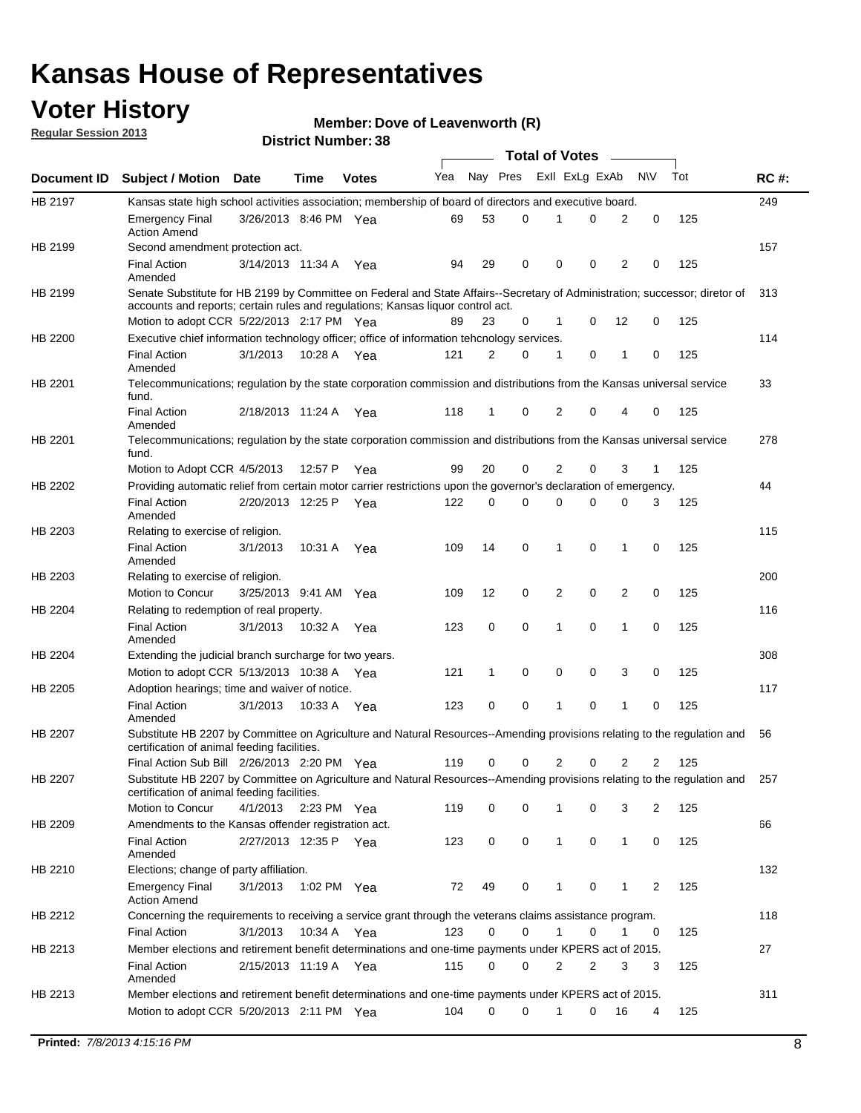### **Voter History**

**Member: Dove of Leavenworth (R)** 

**Regular Session 2013**

|             |                                                                                                                                                                                                                |                       |             |              |     |             |          | <b>Total of Votes</b> |   |                |              |     |             |
|-------------|----------------------------------------------------------------------------------------------------------------------------------------------------------------------------------------------------------------|-----------------------|-------------|--------------|-----|-------------|----------|-----------------------|---|----------------|--------------|-----|-------------|
| Document ID | <b>Subject / Motion Date</b>                                                                                                                                                                                   |                       | Time        | <b>Votes</b> | Yea | Nay Pres    |          | Exll ExLg ExAb        |   |                | <b>NV</b>    | Tot | <b>RC#:</b> |
| HB 2197     | Kansas state high school activities association; membership of board of directors and executive board.                                                                                                         |                       |             |              |     |             |          |                       |   |                |              |     | 249         |
|             | <b>Emergency Final</b><br><b>Action Amend</b>                                                                                                                                                                  | 3/26/2013 8:46 PM Yea |             |              | 69  | 53          | 0        |                       | 0 | 2              | 0            | 125 |             |
| HB 2199     | Second amendment protection act.                                                                                                                                                                               |                       |             |              |     |             |          |                       |   |                |              |     | 157         |
|             | <b>Final Action</b><br>Amended                                                                                                                                                                                 | 3/14/2013 11:34 A     |             | Yea          | 94  | 29          | 0        | 0                     | 0 | 2              | 0            | 125 |             |
| HB 2199     | Senate Substitute for HB 2199 by Committee on Federal and State Affairs--Secretary of Administration; successor; diretor of<br>accounts and reports; certain rules and regulations; Kansas liquor control act. |                       |             |              |     |             |          |                       |   |                |              |     | 313         |
|             | Motion to adopt CCR 5/22/2013 2:17 PM Yea                                                                                                                                                                      |                       |             |              | 89  | 23          | 0        | 1                     | 0 | 12             | 0            | 125 |             |
| HB 2200     | Executive chief information technology officer; office of information tehcnology services.                                                                                                                     |                       |             |              |     |             |          |                       |   |                |              |     | 114         |
|             | <b>Final Action</b><br>Amended                                                                                                                                                                                 | 3/1/2013              | 10:28 A     | Yea          | 121 | 2           | 0        | 1                     | 0 | 1              | 0            | 125 |             |
| HB 2201     | Telecommunications; regulation by the state corporation commission and distributions from the Kansas universal service<br>fund.                                                                                |                       |             |              |     |             |          |                       |   |                |              |     | 33          |
|             | <b>Final Action</b><br>Amended                                                                                                                                                                                 | 2/18/2013 11:24 A     |             | Yea          | 118 | 1           | 0        | 2                     | 0 | 4              | 0            | 125 |             |
| HB 2201     | Telecommunications; regulation by the state corporation commission and distributions from the Kansas universal service<br>fund.                                                                                |                       |             |              |     |             |          |                       |   |                |              |     | 278         |
|             | Motion to Adopt CCR 4/5/2013                                                                                                                                                                                   |                       | 12:57 P     | Yea          | 99  | 20          | 0        | 2                     | 0 | 3              | $\mathbf{1}$ | 125 |             |
| HB 2202     | Providing automatic relief from certain motor carrier restrictions upon the governor's declaration of emergency.                                                                                               |                       |             |              |     |             |          |                       |   |                |              |     | 44          |
|             | <b>Final Action</b><br>Amended                                                                                                                                                                                 | 2/20/2013 12:25 P     |             | Yea          | 122 | 0           | 0        | 0                     | 0 | 0              | 3            | 125 |             |
| HB 2203     | Relating to exercise of religion.                                                                                                                                                                              |                       |             |              |     |             |          |                       |   |                |              |     | 115         |
|             | <b>Final Action</b><br>Amended                                                                                                                                                                                 | 3/1/2013              | 10:31 A     | Yea          | 109 | 14          | 0        | 1                     | 0 | 1              | 0            | 125 |             |
| HB 2203     | Relating to exercise of religion.                                                                                                                                                                              |                       |             |              |     |             |          |                       |   |                |              |     | 200         |
|             | Motion to Concur                                                                                                                                                                                               | 3/25/2013 9:41 AM     |             | Yea          | 109 | 12          | 0        | 2                     | 0 | 2              | 0            | 125 |             |
| HB 2204     | Relating to redemption of real property.                                                                                                                                                                       |                       |             |              |     |             |          |                       |   |                |              |     | 116         |
|             | <b>Final Action</b><br>Amended                                                                                                                                                                                 | 3/1/2013              | 10:32 A     | Yea          | 123 | $\mathbf 0$ | 0        | 1                     | 0 | 1              | 0            | 125 |             |
| HB 2204     | Extending the judicial branch surcharge for two years.                                                                                                                                                         |                       |             |              |     |             |          |                       |   |                |              |     | 308         |
|             | Motion to adopt CCR 5/13/2013 10:38 A Yea                                                                                                                                                                      |                       |             |              | 121 | 1           | 0        | 0                     | 0 | 3              | 0            | 125 |             |
| HB 2205     | Adoption hearings; time and waiver of notice.                                                                                                                                                                  |                       |             |              |     |             |          |                       |   |                |              |     | 117         |
|             | <b>Final Action</b><br>Amended                                                                                                                                                                                 | 3/1/2013              | 10:33 A Yea |              | 123 | 0           | 0        | 1                     | 0 | 1              | 0            | 125 |             |
| HB 2207     | Substitute HB 2207 by Committee on Agriculture and Natural Resources--Amending provisions relating to the regulation and<br>certification of animal feeding facilities.                                        |                       |             |              |     |             |          |                       |   |                |              |     | 56          |
|             | Final Action Sub Bill 2/26/2013 2:20 PM Yea                                                                                                                                                                    |                       |             |              | 119 | 0           | 0        | 2                     | 0 | $\overline{2}$ | 2            | 125 |             |
| HB 2207     | Substitute HB 2207 by Committee on Agriculture and Natural Resources--Amending provisions relating to the regulation and 257<br>certification of animal feeding facilities.                                    |                       |             |              |     |             |          |                       |   |                |              |     |             |
|             | Motion to Concur                                                                                                                                                                                               | 4/1/2013              | 2:23 PM Yea |              | 119 | 0           | 0        | 1                     | 0 | 3              | 2            | 125 |             |
| HB 2209     | Amendments to the Kansas offender registration act.                                                                                                                                                            |                       |             |              |     |             |          |                       |   |                |              |     | 66          |
|             | <b>Final Action</b><br>Amended                                                                                                                                                                                 | 2/27/2013 12:35 P Yea |             |              | 123 | 0           | 0        | $\mathbf{1}$          | 0 | $\mathbf{1}$   | 0            | 125 |             |
| HB 2210     | Elections; change of party affiliation.                                                                                                                                                                        |                       |             |              |     |             |          |                       |   |                |              |     | 132         |
|             | <b>Emergency Final</b><br><b>Action Amend</b>                                                                                                                                                                  | 3/1/2013              | 1:02 PM Yea |              | 72  | 49          | 0        |                       | 0 | 1              | 2            | 125 |             |
| HB 2212     | Concerning the requirements to receiving a service grant through the veterans claims assistance program.<br><b>Final Action</b>                                                                                | 3/1/2013              | 10:34 A Yea |              | 123 | 0           | 0        | $\mathbf{1}$          | 0 | 1              | 0            | 125 | 118         |
| HB 2213     | Member elections and retirement benefit determinations and one-time payments under KPERS act of 2015.                                                                                                          |                       |             |              |     |             |          |                       |   |                |              |     | 27          |
|             | <b>Final Action</b>                                                                                                                                                                                            | 2/15/2013 11:19 A Yea |             |              | 115 | 0           | 0        | 2                     | 2 | 3              | 3            | 125 |             |
| HB 2213     | Amended<br>Member elections and retirement benefit determinations and one-time payments under KPERS act of 2015.                                                                                               |                       |             |              |     |             |          |                       |   |                |              |     | 311         |
|             | Motion to adopt CCR 5/20/2013 2:11 PM Yea                                                                                                                                                                      |                       |             |              | 104 | $\Omega$    | $\Omega$ | $\mathbf{1}$          | 0 | 16             | 4            | 125 |             |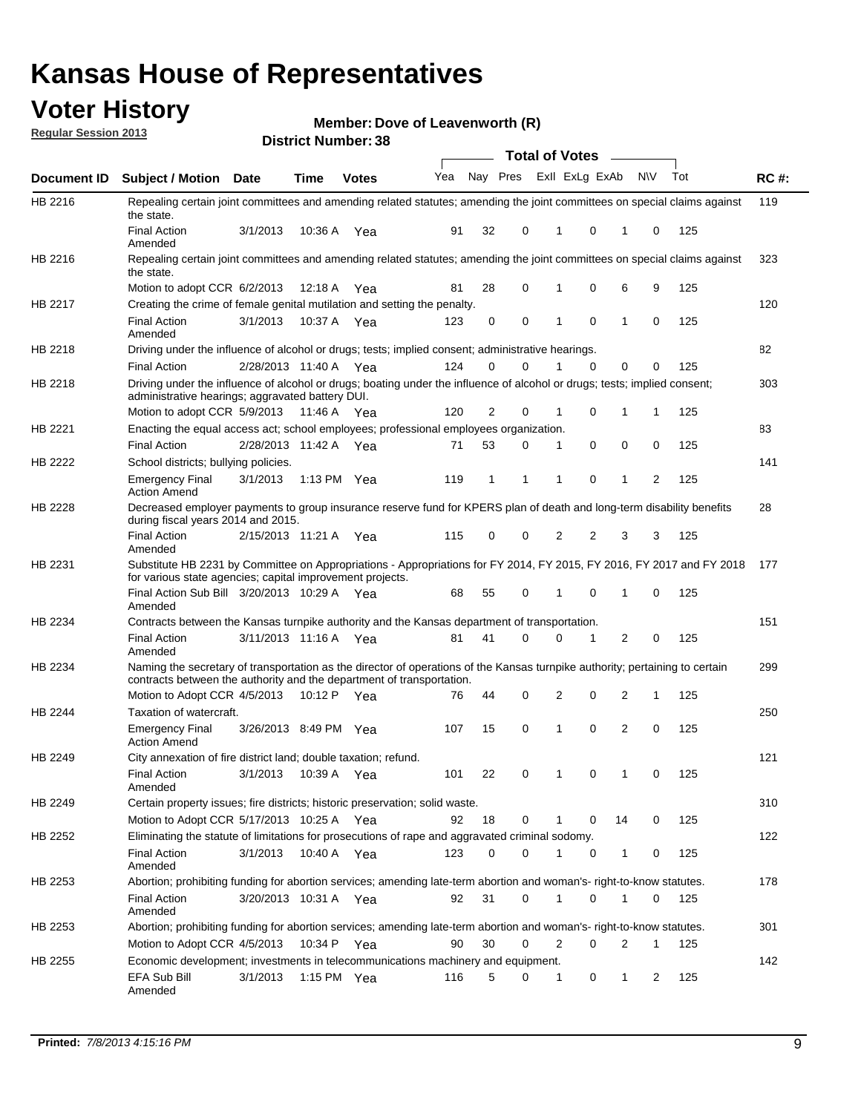### **Voter History**

**Member: Dove of Leavenworth (R)** 

**Regular Session 2013**

|                    |                                                                                                                                                                                                                       |                       |         | טט. וסמוווטנו ועוווסו |              |    |   | <b>Total of Votes</b> |          | $\sim$       |           |     |     |
|--------------------|-----------------------------------------------------------------------------------------------------------------------------------------------------------------------------------------------------------------------|-----------------------|---------|-----------------------|--------------|----|---|-----------------------|----------|--------------|-----------|-----|-----|
| <b>Document ID</b> | <b>Subject / Motion Date</b>                                                                                                                                                                                          |                       | Time    | <b>Votes</b>          | Yea Nay Pres |    |   | Exll ExLg ExAb        |          |              | <b>NV</b> | Tot | RC# |
| HB 2216            | Repealing certain joint committees and amending related statutes; amending the joint committees on special claims against<br>the state.                                                                               |                       |         |                       |              |    |   |                       |          |              |           |     | 119 |
|                    | <b>Final Action</b><br>Amended                                                                                                                                                                                        | 3/1/2013              | 10:36 A | Yea                   | 91           | 32 | 0 | 1                     | 0        | 1            | 0         | 125 |     |
| HB 2216            | Repealing certain joint committees and amending related statutes; amending the joint committees on special claims against<br>the state.                                                                               |                       |         |                       |              |    |   |                       |          |              |           |     | 323 |
|                    | Motion to adopt CCR 6/2/2013                                                                                                                                                                                          |                       | 12:18 A | Yea                   | 81           | 28 | 0 | 1                     | 0        | 6            | 9         | 125 |     |
| HB 2217            | Creating the crime of female genital mutilation and setting the penalty.                                                                                                                                              |                       |         |                       |              |    |   |                       |          |              |           |     | 120 |
|                    | <b>Final Action</b><br>Amended                                                                                                                                                                                        | 3/1/2013              |         | 10:37 A Yea           | 123          | 0  | 0 | 1                     | 0        | $\mathbf{1}$ | 0         | 125 |     |
| HB 2218            | Driving under the influence of alcohol or drugs; tests; implied consent; administrative hearings.                                                                                                                     |                       |         |                       |              |    |   |                       |          |              |           |     | 82  |
|                    | <b>Final Action</b>                                                                                                                                                                                                   | 2/28/2013 11:40 A Yea |         |                       | 124          | 0  | 0 |                       | $\Omega$ | 0            | 0         | 125 |     |
| HB 2218            | Driving under the influence of alcohol or drugs; boating under the influence of alcohol or drugs; tests; implied consent;<br>administrative hearings; aggravated battery DUI.<br>Motion to adopt CCR 5/9/2013 11:46 A |                       |         | Yea                   | 120          | 2  | 0 | 1                     | 0        | 1            | 1         | 125 | 303 |
| HB 2221            | Enacting the equal access act; school employees; professional employees organization.                                                                                                                                 |                       |         |                       |              |    |   |                       |          |              |           |     | 83  |
|                    | <b>Final Action</b>                                                                                                                                                                                                   | 2/28/2013 11:42 A     |         |                       | 71           | 53 | 0 | 1                     | 0        | 0            | 0         | 125 |     |
| HB 2222            |                                                                                                                                                                                                                       |                       |         | Yea                   |              |    |   |                       |          |              |           |     | 141 |
|                    | School districts; bullying policies.<br><b>Emergency Final</b><br><b>Action Amend</b>                                                                                                                                 | 3/1/2013              |         | 1:13 PM $Yea$         | 119          | 1  | 1 | 1                     | 0        | 1            | 2         | 125 |     |
| HB 2228            | Decreased employer payments to group insurance reserve fund for KPERS plan of death and long-term disability benefits<br>during fiscal years 2014 and 2015.                                                           |                       |         |                       |              |    |   |                       |          |              |           |     | 28  |
|                    | <b>Final Action</b><br>Amended                                                                                                                                                                                        | 2/15/2013 11:21 A Yea |         |                       | 115          | 0  | 0 | 2                     | 2        | 3            | 3         | 125 |     |
| HB 2231            | Substitute HB 2231 by Committee on Appropriations - Appropriations for FY 2014, FY 2015, FY 2016, FY 2017 and FY 2018<br>for various state agencies; capital improvement projects.                                    |                       |         |                       |              |    |   |                       |          |              |           |     | 177 |
|                    | Final Action Sub Bill 3/20/2013 10:29 A Yea<br>Amended                                                                                                                                                                |                       |         |                       | 68           | 55 | 0 |                       | 0        | 1            | 0         | 125 |     |
| HB 2234            | Contracts between the Kansas turnpike authority and the Kansas department of transportation.                                                                                                                          |                       |         |                       |              |    |   |                       |          |              |           |     | 151 |
|                    | <b>Final Action</b><br>Amended                                                                                                                                                                                        | 3/11/2013 11:16 A Yea |         |                       | 81           | 41 | 0 | 0                     | 1        | 2            | 0         | 125 |     |
| HB 2234            | Naming the secretary of transportation as the director of operations of the Kansas turnpike authority; pertaining to certain<br>contracts between the authority and the department of transportation.                 |                       |         |                       |              |    |   |                       |          |              |           |     | 299 |
|                    | Motion to Adopt CCR 4/5/2013                                                                                                                                                                                          |                       | 10:12 P | Yea                   | 76           | 44 | 0 | 2                     | 0        | 2            | 1         | 125 |     |
| HB 2244            | Taxation of watercraft.<br><b>Emergency Final</b>                                                                                                                                                                     | 3/26/2013 8:49 PM Yea |         |                       | 107          | 15 | 0 | 1                     | 0        | 2            | 0         | 125 | 250 |
| HB 2249            | <b>Action Amend</b><br>City annexation of fire district land; double taxation; refund.                                                                                                                                |                       |         |                       |              |    |   |                       |          |              |           |     | 121 |
|                    | Final Action 3/1/2013 10:39 A Yea<br>Amended                                                                                                                                                                          |                       |         |                       | 101          | 22 | 0 | $\mathbf{1}$          | 0        | $\mathbf{1}$ | 0         | 125 |     |
| HB 2249            | Certain property issues; fire districts; historic preservation; solid waste.                                                                                                                                          |                       |         |                       |              |    |   |                       |          |              |           |     | 310 |
|                    | Motion to Adopt CCR 5/17/2013 10:25 A Yea                                                                                                                                                                             |                       |         |                       | 92           | 18 | 0 | 1                     | 0        | 14           | 0         | 125 |     |
| HB 2252            | Eliminating the statute of limitations for prosecutions of rape and aggravated criminal sodomy.                                                                                                                       |                       |         |                       |              |    |   |                       |          |              |           |     | 122 |
|                    | <b>Final Action</b><br>Amended                                                                                                                                                                                        | 3/1/2013              |         | 10:40 A Yea           | 123          | 0  | 0 |                       | 0        | 1            | 0         | 125 |     |
| HB 2253            | Abortion; prohibiting funding for abortion services; amending late-term abortion and woman's- right-to-know statutes.                                                                                                 |                       |         |                       |              |    |   |                       |          |              |           |     | 178 |
|                    | <b>Final Action</b><br>Amended                                                                                                                                                                                        | 3/20/2013 10:31 A Yea |         |                       | 92           | 31 | 0 | 1                     | 0        | 1            | 0         | 125 |     |
| HB 2253            | Abortion; prohibiting funding for abortion services; amending late-term abortion and woman's- right-to-know statutes.                                                                                                 |                       |         |                       |              |    |   |                       |          |              |           |     | 301 |
|                    | Motion to Adopt CCR 4/5/2013                                                                                                                                                                                          |                       |         | 10:34 P Yea           | 90           | 30 | 0 | 2                     | 0        | 2            | 1         | 125 |     |
| HB 2255            | Economic development; investments in telecommunications machinery and equipment.                                                                                                                                      |                       |         |                       |              |    |   |                       |          |              |           |     | 142 |
|                    | EFA Sub Bill<br>Amended                                                                                                                                                                                               | 3/1/2013              |         | 1:15 PM $Yea$         | 116          | 5  | 0 | -1                    | 0        | 1            | 2         | 125 |     |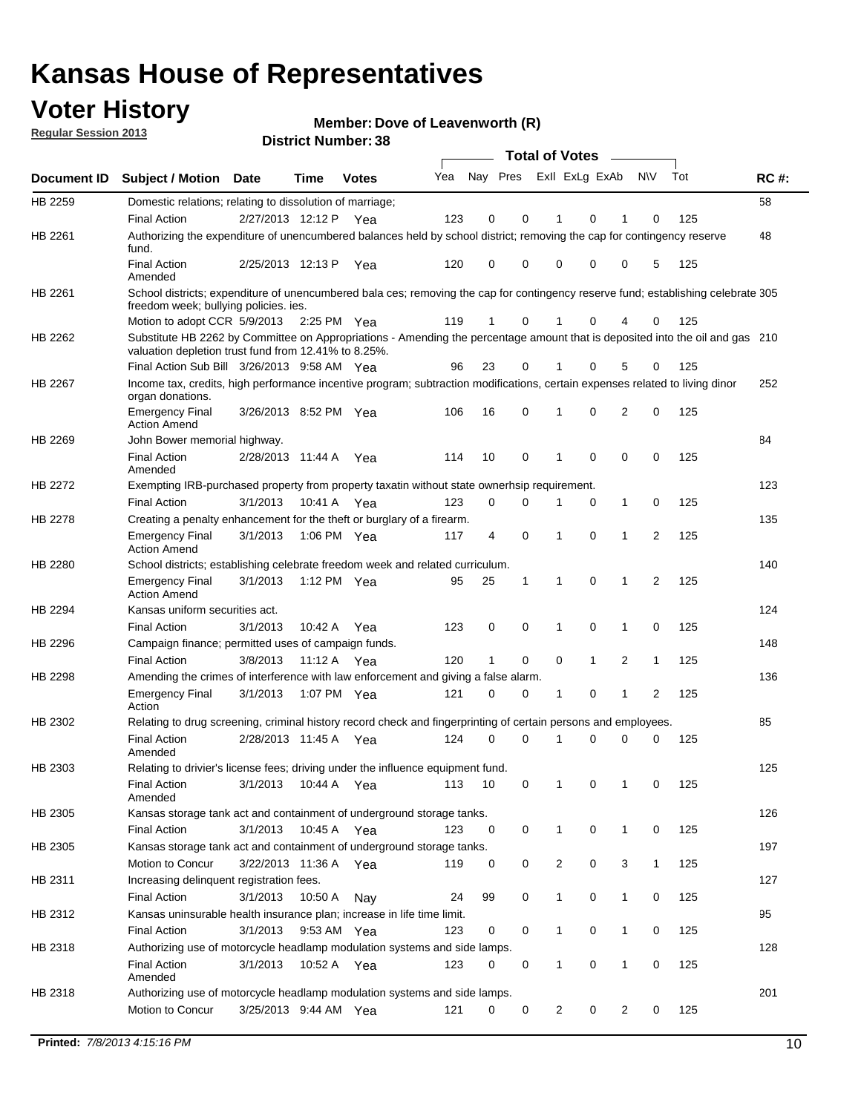### **Voter History**

**Member: Dove of Leavenworth (R)** 

**Regular Session 2013**

|                    |                                                                                                                                                                                       |                       | טט. וסעווווטדו וטוש |              |     |                         |             | <b>Total of Votes</b> |              | $\sim$         |              |     |             |
|--------------------|---------------------------------------------------------------------------------------------------------------------------------------------------------------------------------------|-----------------------|---------------------|--------------|-----|-------------------------|-------------|-----------------------|--------------|----------------|--------------|-----|-------------|
| <b>Document ID</b> | <b>Subject / Motion</b>                                                                                                                                                               | Date                  | Time                | <b>Votes</b> | Yea | Nay Pres Exll ExLg ExAb |             |                       |              |                | N\V          | Tot | <b>RC#:</b> |
| HB 2259            | Domestic relations; relating to dissolution of marriage;                                                                                                                              |                       |                     |              |     |                         |             |                       |              |                |              |     | 58          |
|                    | <b>Final Action</b>                                                                                                                                                                   | 2/27/2013 12:12 P     |                     | Yea          | 123 | 0                       | 0           | 1                     | 0            | 1              | $\Omega$     | 125 |             |
| HB 2261            | Authorizing the expenditure of unencumbered balances held by school district; removing the cap for contingency reserve<br>fund.                                                       |                       |                     |              |     |                         |             |                       |              |                |              |     | 48          |
|                    | <b>Final Action</b><br>Amended                                                                                                                                                        | 2/25/2013 12:13 P     |                     | Yea          | 120 | 0                       | 0           | 0                     | 0            | 0              | 5            | 125 |             |
| HB 2261            | School districts; expenditure of unencumbered bala ces; removing the cap for contingency reserve fund; establishing celebrate 305<br>freedom week; bullying policies. ies.            |                       |                     |              |     |                         |             |                       |              |                |              |     |             |
|                    | Motion to adopt CCR 5/9/2013                                                                                                                                                          |                       | 2:25 PM Yea         |              | 119 | 1                       | 0           |                       | 0            | 4              | 0            | 125 |             |
| HB 2262            | Substitute HB 2262 by Committee on Appropriations - Amending the percentage amount that is deposited into the oil and gas 210<br>valuation depletion trust fund from 12.41% to 8.25%. |                       |                     |              |     |                         |             |                       |              |                |              |     |             |
|                    | Final Action Sub Bill 3/26/2013 9:58 AM Yea                                                                                                                                           |                       |                     |              | 96  | 23                      | 0           |                       | 0            | 5              | 0            | 125 |             |
| HB 2267            | Income tax, credits, high performance incentive program; subtraction modifications, certain expenses related to living dinor<br>organ donations.                                      |                       |                     |              |     |                         |             |                       |              |                |              |     | 252         |
|                    | <b>Emergency Final</b><br><b>Action Amend</b>                                                                                                                                         | 3/26/2013 8:52 PM Yea |                     |              | 106 | 16                      | 0           | 1                     | 0            | 2              | 0            | 125 |             |
| HB 2269            | John Bower memorial highway.                                                                                                                                                          |                       |                     |              |     |                         |             |                       |              |                |              |     | 84          |
|                    | <b>Final Action</b><br>Amended                                                                                                                                                        | 2/28/2013 11:44 A Yea |                     |              | 114 | 10                      | 0           | 1                     | 0            | 0              | 0            | 125 |             |
| HB 2272            | Exempting IRB-purchased property from property taxatin without state ownerhsip requirement.                                                                                           |                       |                     |              |     |                         |             |                       |              |                |              |     | 123         |
|                    | <b>Final Action</b>                                                                                                                                                                   | 3/1/2013              | 10:41 A Yea         |              | 123 | 0                       | 0           | 1                     | 0            | $\mathbf{1}$   | 0            | 125 |             |
| HB 2278            | Creating a penalty enhancement for the theft or burglary of a firearm.                                                                                                                |                       |                     |              |     |                         |             |                       |              |                |              |     | 135         |
|                    | <b>Emergency Final</b><br><b>Action Amend</b>                                                                                                                                         | 3/1/2013              | 1:06 PM Yea         |              | 117 | 4                       | $\mathbf 0$ | $\mathbf 1$           | $\Omega$     | 1              | 2            | 125 |             |
| HB 2280            | School districts; establishing celebrate freedom week and related curriculum.                                                                                                         |                       |                     |              |     |                         |             |                       |              |                |              |     | 140         |
|                    | <b>Emergency Final</b><br><b>Action Amend</b>                                                                                                                                         | 3/1/2013              | 1:12 PM Yea         |              | 95  | 25                      | 1           | 1                     | 0            | 1              | 2            | 125 |             |
| HB 2294            | Kansas uniform securities act.                                                                                                                                                        |                       |                     |              |     |                         |             |                       |              |                |              |     | 124         |
|                    | <b>Final Action</b>                                                                                                                                                                   | 3/1/2013              | 10:42 A Yea         |              | 123 | 0                       | 0           | 1                     | $\mathbf 0$  | 1              | 0            | 125 |             |
| HB 2296            | Campaign finance; permitted uses of campaign funds.                                                                                                                                   |                       |                     |              |     |                         |             |                       |              |                |              |     | 148         |
|                    | <b>Final Action</b>                                                                                                                                                                   | 3/8/2013              | 11:12 A Yea         |              | 120 | $\mathbf{1}$            | 0           | 0                     | $\mathbf{1}$ | $\overline{2}$ | $\mathbf{1}$ | 125 |             |
| HB 2298            | Amending the crimes of interference with law enforcement and giving a false alarm.                                                                                                    |                       |                     |              |     |                         |             |                       |              |                |              |     | 136         |
|                    | <b>Emergency Final</b><br>Action                                                                                                                                                      | 3/1/2013              | 1:07 PM Yea         |              | 121 | 0                       | 0           | 1                     | 0            | $\mathbf{1}$   | 2            | 125 |             |
| HB 2302            | Relating to drug screening, criminal history record check and fingerprinting of certain persons and employees.                                                                        |                       |                     |              |     |                         |             |                       |              |                |              |     | 85          |
|                    | <b>Final Action</b><br>Amended                                                                                                                                                        | 2/28/2013 11:45 A Yea |                     |              | 124 | 0                       | $\Omega$    | 1                     | 0            | 0              | $\mathbf 0$  | 125 |             |
| HB 2303            | Relating to drivier's license fees; driving under the influence equipment fund.                                                                                                       |                       |                     |              |     |                         |             |                       |              |                |              |     | 125         |
|                    | <b>Final Action</b><br>Amended                                                                                                                                                        | 3/1/2013              | 10:44 A             | Yea          | 113 | 10                      | 0           | 1                     | 0            | 1              | 0            | 125 |             |
| HB 2305            | Kansas storage tank act and containment of underground storage tanks.                                                                                                                 |                       |                     |              |     |                         |             |                       |              |                |              |     | 126         |
|                    | <b>Final Action</b>                                                                                                                                                                   | 3/1/2013              | 10:45 A             | Yea          | 123 | 0                       | 0           | 1                     | 0            | $\mathbf{1}$   | 0            | 125 |             |
| HB 2305            | Kansas storage tank act and containment of underground storage tanks.                                                                                                                 |                       |                     |              |     |                         |             |                       |              |                |              |     | 197         |
|                    | Motion to Concur                                                                                                                                                                      | 3/22/2013 11:36 A     |                     | Yea          | 119 | 0                       | 0           | 2                     | 0            | 3              | $\mathbf{1}$ | 125 |             |
| HB 2311            | Increasing delinquent registration fees.                                                                                                                                              |                       |                     |              |     |                         |             |                       |              |                |              |     | 127         |
|                    | <b>Final Action</b>                                                                                                                                                                   | 3/1/2013              | 10:50 A             | Nay          | 24  | 99                      | 0           | $\mathbf{1}$          | 0            | $\mathbf{1}$   | 0            | 125 |             |
| HB 2312            | Kansas uninsurable health insurance plan; increase in life time limit.                                                                                                                |                       |                     |              |     |                         |             |                       |              |                |              |     | 95          |
|                    | <b>Final Action</b>                                                                                                                                                                   | 3/1/2013              | 9:53 AM Yea         |              | 123 | 0                       | 0           | 1                     | 0            | 1              | 0            | 125 |             |
| HB 2318            | Authorizing use of motorcycle headlamp modulation systems and side lamps.                                                                                                             |                       |                     |              |     |                         |             |                       |              |                |              |     | 128         |
|                    | <b>Final Action</b><br>Amended                                                                                                                                                        | 3/1/2013              | 10:52 A             | Yea          | 123 | 0                       | 0           | 1                     | 0            | 1              | 0            | 125 |             |
| HB 2318            | Authorizing use of motorcycle headlamp modulation systems and side lamps.                                                                                                             |                       |                     |              |     |                         |             |                       |              |                |              |     | 201         |
|                    | Motion to Concur                                                                                                                                                                      | 3/25/2013 9:44 AM Yea |                     |              | 121 | 0                       | 0           | 2                     | 0            | 2              | 0            | 125 |             |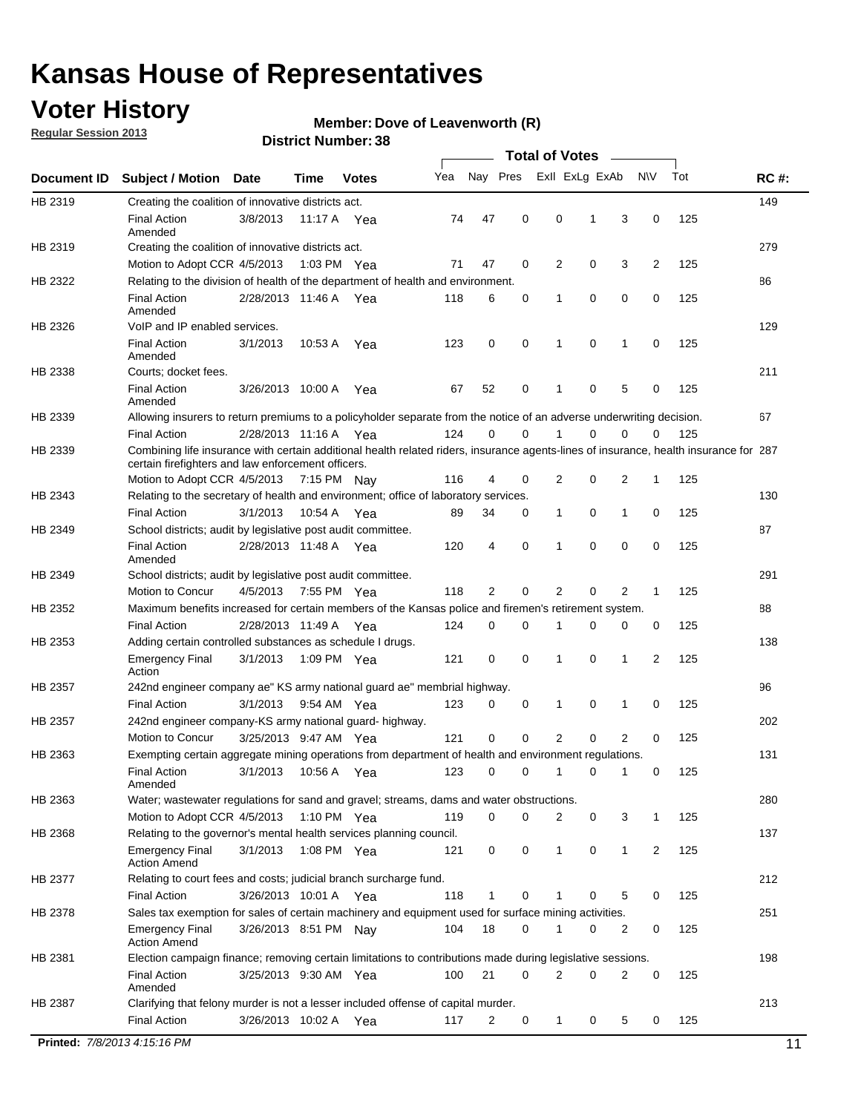### **Voter History**

**Regular Session 2013**

#### **Member: Dove of Leavenworth (R)**

| Nay Pres<br>Exll ExLg ExAb<br>Tot<br>Yea<br><b>NV</b><br><b>RC#:</b><br>Document ID<br><b>Subject / Motion Date</b><br>Time<br><b>Votes</b><br>149<br>Creating the coalition of innovative districts act.<br>47<br>0<br>0<br>125<br><b>Final Action</b><br>3/8/2013<br>74<br>3<br>0<br>11:17 A<br>1<br>Yea<br>Amended<br>279<br>Creating the coalition of innovative districts act.<br>47<br>0<br>$\overline{2}$<br>0<br>3<br>2<br>125<br>Motion to Adopt CCR 4/5/2013<br>1:03 PM Yea<br>71<br>HB 2322<br>Relating to the division of health of the department of health and environment.<br>86<br>0<br>0<br>0<br>0<br>125<br><b>Final Action</b><br>2/28/2013 11:46 A Yea<br>118<br>6<br>1<br>Amended<br>VoIP and IP enabled services.<br>129<br>0<br>0<br>123<br>0<br>$\mathbf{1}$<br>0<br>125<br><b>Final Action</b><br>3/1/2013<br>10.53 A<br>1<br>Yea<br>Amended<br>211<br>Courts; docket fees.<br><b>Final Action</b><br>0<br>125<br>3/26/2013 10:00 A<br>67<br>52<br>$\mathbf 1$<br>0<br>5<br>Yea<br>0<br>Amended<br>67<br>Allowing insurers to return premiums to a policyholder separate from the notice of an adverse underwriting decision.<br>0<br>2/28/2013 11:16 A Yea<br>124<br>0<br>0<br>0<br>125<br><b>Final Action</b><br>1<br>0<br>HB 2339<br>Combining life insurance with certain additional health related riders, insurance agents-lines of insurance, health insurance for 287<br>certain firefighters and law enforcement officers.<br>2<br>125<br>Motion to Adopt CCR 4/5/2013 7:15 PM Nay<br>116<br>4<br>0<br>0<br>2<br>1<br>Relating to the secretary of health and environment; office of laboratory services.<br>130<br><b>Final Action</b><br>34<br>0<br>125<br>3/1/2013<br>10:54 A Yea<br>89<br>0<br>$\mathbf{1}$<br>1<br>0<br>87<br>HB 2349<br>School districts; audit by legislative post audit committee.<br>$\mathbf 0$<br>$\Omega$<br>4<br>0<br>0<br>125<br><b>Final Action</b><br>2/28/2013 11:48 A Yea<br>120<br>1<br>Amended<br>291<br>HB 2349<br>School districts; audit by legislative post audit committee.<br>Motion to Concur<br>4/5/2013<br>7:55 PM Yea<br>118<br>2<br>0<br>2<br>0<br>2<br>125<br>$\mathbf{1}$<br>Maximum benefits increased for certain members of the Kansas police and firemen's retirement system.<br>88<br>HB 2352<br><b>Final Action</b><br>0<br>125<br>2/28/2013 11:49 A<br>124<br>0<br>1<br>0<br>0<br>0<br>Yea<br>138<br>HB 2353<br>Adding certain controlled substances as schedule I drugs.<br>0<br>$\mathbf 0$<br>0<br>2<br>125<br><b>Emergency Final</b><br>3/1/2013<br>1:09 PM Yea<br>121<br>1<br>1<br>Action<br>96<br>242nd engineer company ae" KS army national guard ae" membrial highway.<br>3/1/2013<br>0<br>0<br>0<br>125<br><b>Final Action</b><br>9:54 AM Yea<br>123<br>1<br>1<br>0<br>202<br>HB 2357<br>242nd engineer company-KS army national guard- highway.<br>$\mathbf 0$<br>$\mathbf 0$<br>2<br>0<br>$\overline{2}$<br>3/25/2013 9:47 AM Yea<br>121<br>0<br>125<br>Motion to Concur<br>131<br>HB 2363<br>Exempting certain aggregate mining operations from department of health and environment regulations.<br>3/1/2013<br>10:56 A<br>123<br>0<br>125<br><b>Final Action</b><br>0<br>1<br>0<br>1<br>0<br>Yea<br>Amended<br>Water; wastewater regulations for sand and gravel; streams, dams and water obstructions.<br>280<br>Motion to Adopt CCR 4/5/2013<br>119<br>$\mathbf 0$<br>0<br>125<br>1:10 PM $Yea$<br>2<br>0<br>3<br>1<br>Relating to the governor's mental health services planning council.<br>137<br>0<br>0<br><b>Emergency Final</b><br>3/1/2013<br>1:08 PM Yea<br>121<br>0<br>$\mathbf{1}$<br>$\mathbf{1}$<br>2<br>125<br><b>Action Amend</b><br>212<br>HB 2377<br>Relating to court fees and costs; judicial branch surcharge fund.<br>3/26/2013 10:01 A Yea<br>118<br>0<br>125<br><b>Final Action</b><br>0<br>5<br>0<br>1<br>Sales tax exemption for sales of certain machinery and equipment used for surface mining activities.<br>251<br>HB 2378<br>104<br>18<br>0<br>0<br>125<br><b>Emergency Final</b><br>3/26/2013 8:51 PM Nay<br>1<br>0<br>2<br><b>Action Amend</b><br>198<br>Election campaign finance; removing certain limitations to contributions made during legislative sessions.<br><b>Final Action</b><br>21<br>2<br>0<br>2<br>0<br>3/25/2013 9:30 AM Yea<br>100<br>0<br>125<br>Amended<br>213<br>HB 2387<br>Clarifying that felony murder is not a lesser included offense of capital murder.<br><b>Final Action</b><br>2<br>125<br>3/26/2013 10:02 A<br>117<br>0<br>$\mathbf{1}$<br>0<br>5<br>0<br>Yea<br>Printed: 7/8/2013 4:15:16 PM<br>11 |         |  |  |  | <b>Total of Votes</b> |  |  |  |
|-------------------------------------------------------------------------------------------------------------------------------------------------------------------------------------------------------------------------------------------------------------------------------------------------------------------------------------------------------------------------------------------------------------------------------------------------------------------------------------------------------------------------------------------------------------------------------------------------------------------------------------------------------------------------------------------------------------------------------------------------------------------------------------------------------------------------------------------------------------------------------------------------------------------------------------------------------------------------------------------------------------------------------------------------------------------------------------------------------------------------------------------------------------------------------------------------------------------------------------------------------------------------------------------------------------------------------------------------------------------------------------------------------------------------------------------------------------------------------------------------------------------------------------------------------------------------------------------------------------------------------------------------------------------------------------------------------------------------------------------------------------------------------------------------------------------------------------------------------------------------------------------------------------------------------------------------------------------------------------------------------------------------------------------------------------------------------------------------------------------------------------------------------------------------------------------------------------------------------------------------------------------------------------------------------------------------------------------------------------------------------------------------------------------------------------------------------------------------------------------------------------------------------------------------------------------------------------------------------------------------------------------------------------------------------------------------------------------------------------------------------------------------------------------------------------------------------------------------------------------------------------------------------------------------------------------------------------------------------------------------------------------------------------------------------------------------------------------------------------------------------------------------------------------------------------------------------------------------------------------------------------------------------------------------------------------------------------------------------------------------------------------------------------------------------------------------------------------------------------------------------------------------------------------------------------------------------------------------------------------------------------------------------------------------------------------------------------------------------------------------------------------------------------------------------------------------------------------------------------------------------------------------------------------------------------------------------------------------------------------------------------------------------------------------------------------------------------------------------------------------------------------------------------------------------------------------------------------------------------------------------------------------------------------------------------------------------------------------------------------------------------------------------------------------------------------------------------------------------------------------------------------------------------------------------------------------------|---------|--|--|--|-----------------------|--|--|--|
|                                                                                                                                                                                                                                                                                                                                                                                                                                                                                                                                                                                                                                                                                                                                                                                                                                                                                                                                                                                                                                                                                                                                                                                                                                                                                                                                                                                                                                                                                                                                                                                                                                                                                                                                                                                                                                                                                                                                                                                                                                                                                                                                                                                                                                                                                                                                                                                                                                                                                                                                                                                                                                                                                                                                                                                                                                                                                                                                                                                                                                                                                                                                                                                                                                                                                                                                                                                                                                                                                                                                                                                                                                                                                                                                                                                                                                                                                                                                                                                                                                                                                                                                                                                                                                                                                                                                                                                                                                                                                                                                                                               |         |  |  |  |                       |  |  |  |
|                                                                                                                                                                                                                                                                                                                                                                                                                                                                                                                                                                                                                                                                                                                                                                                                                                                                                                                                                                                                                                                                                                                                                                                                                                                                                                                                                                                                                                                                                                                                                                                                                                                                                                                                                                                                                                                                                                                                                                                                                                                                                                                                                                                                                                                                                                                                                                                                                                                                                                                                                                                                                                                                                                                                                                                                                                                                                                                                                                                                                                                                                                                                                                                                                                                                                                                                                                                                                                                                                                                                                                                                                                                                                                                                                                                                                                                                                                                                                                                                                                                                                                                                                                                                                                                                                                                                                                                                                                                                                                                                                                               | HB 2319 |  |  |  |                       |  |  |  |
|                                                                                                                                                                                                                                                                                                                                                                                                                                                                                                                                                                                                                                                                                                                                                                                                                                                                                                                                                                                                                                                                                                                                                                                                                                                                                                                                                                                                                                                                                                                                                                                                                                                                                                                                                                                                                                                                                                                                                                                                                                                                                                                                                                                                                                                                                                                                                                                                                                                                                                                                                                                                                                                                                                                                                                                                                                                                                                                                                                                                                                                                                                                                                                                                                                                                                                                                                                                                                                                                                                                                                                                                                                                                                                                                                                                                                                                                                                                                                                                                                                                                                                                                                                                                                                                                                                                                                                                                                                                                                                                                                                               |         |  |  |  |                       |  |  |  |
|                                                                                                                                                                                                                                                                                                                                                                                                                                                                                                                                                                                                                                                                                                                                                                                                                                                                                                                                                                                                                                                                                                                                                                                                                                                                                                                                                                                                                                                                                                                                                                                                                                                                                                                                                                                                                                                                                                                                                                                                                                                                                                                                                                                                                                                                                                                                                                                                                                                                                                                                                                                                                                                                                                                                                                                                                                                                                                                                                                                                                                                                                                                                                                                                                                                                                                                                                                                                                                                                                                                                                                                                                                                                                                                                                                                                                                                                                                                                                                                                                                                                                                                                                                                                                                                                                                                                                                                                                                                                                                                                                                               | HB 2319 |  |  |  |                       |  |  |  |
|                                                                                                                                                                                                                                                                                                                                                                                                                                                                                                                                                                                                                                                                                                                                                                                                                                                                                                                                                                                                                                                                                                                                                                                                                                                                                                                                                                                                                                                                                                                                                                                                                                                                                                                                                                                                                                                                                                                                                                                                                                                                                                                                                                                                                                                                                                                                                                                                                                                                                                                                                                                                                                                                                                                                                                                                                                                                                                                                                                                                                                                                                                                                                                                                                                                                                                                                                                                                                                                                                                                                                                                                                                                                                                                                                                                                                                                                                                                                                                                                                                                                                                                                                                                                                                                                                                                                                                                                                                                                                                                                                                               |         |  |  |  |                       |  |  |  |
|                                                                                                                                                                                                                                                                                                                                                                                                                                                                                                                                                                                                                                                                                                                                                                                                                                                                                                                                                                                                                                                                                                                                                                                                                                                                                                                                                                                                                                                                                                                                                                                                                                                                                                                                                                                                                                                                                                                                                                                                                                                                                                                                                                                                                                                                                                                                                                                                                                                                                                                                                                                                                                                                                                                                                                                                                                                                                                                                                                                                                                                                                                                                                                                                                                                                                                                                                                                                                                                                                                                                                                                                                                                                                                                                                                                                                                                                                                                                                                                                                                                                                                                                                                                                                                                                                                                                                                                                                                                                                                                                                                               |         |  |  |  |                       |  |  |  |
|                                                                                                                                                                                                                                                                                                                                                                                                                                                                                                                                                                                                                                                                                                                                                                                                                                                                                                                                                                                                                                                                                                                                                                                                                                                                                                                                                                                                                                                                                                                                                                                                                                                                                                                                                                                                                                                                                                                                                                                                                                                                                                                                                                                                                                                                                                                                                                                                                                                                                                                                                                                                                                                                                                                                                                                                                                                                                                                                                                                                                                                                                                                                                                                                                                                                                                                                                                                                                                                                                                                                                                                                                                                                                                                                                                                                                                                                                                                                                                                                                                                                                                                                                                                                                                                                                                                                                                                                                                                                                                                                                                               | HB 2326 |  |  |  |                       |  |  |  |
|                                                                                                                                                                                                                                                                                                                                                                                                                                                                                                                                                                                                                                                                                                                                                                                                                                                                                                                                                                                                                                                                                                                                                                                                                                                                                                                                                                                                                                                                                                                                                                                                                                                                                                                                                                                                                                                                                                                                                                                                                                                                                                                                                                                                                                                                                                                                                                                                                                                                                                                                                                                                                                                                                                                                                                                                                                                                                                                                                                                                                                                                                                                                                                                                                                                                                                                                                                                                                                                                                                                                                                                                                                                                                                                                                                                                                                                                                                                                                                                                                                                                                                                                                                                                                                                                                                                                                                                                                                                                                                                                                                               |         |  |  |  |                       |  |  |  |
|                                                                                                                                                                                                                                                                                                                                                                                                                                                                                                                                                                                                                                                                                                                                                                                                                                                                                                                                                                                                                                                                                                                                                                                                                                                                                                                                                                                                                                                                                                                                                                                                                                                                                                                                                                                                                                                                                                                                                                                                                                                                                                                                                                                                                                                                                                                                                                                                                                                                                                                                                                                                                                                                                                                                                                                                                                                                                                                                                                                                                                                                                                                                                                                                                                                                                                                                                                                                                                                                                                                                                                                                                                                                                                                                                                                                                                                                                                                                                                                                                                                                                                                                                                                                                                                                                                                                                                                                                                                                                                                                                                               | HB 2338 |  |  |  |                       |  |  |  |
|                                                                                                                                                                                                                                                                                                                                                                                                                                                                                                                                                                                                                                                                                                                                                                                                                                                                                                                                                                                                                                                                                                                                                                                                                                                                                                                                                                                                                                                                                                                                                                                                                                                                                                                                                                                                                                                                                                                                                                                                                                                                                                                                                                                                                                                                                                                                                                                                                                                                                                                                                                                                                                                                                                                                                                                                                                                                                                                                                                                                                                                                                                                                                                                                                                                                                                                                                                                                                                                                                                                                                                                                                                                                                                                                                                                                                                                                                                                                                                                                                                                                                                                                                                                                                                                                                                                                                                                                                                                                                                                                                                               |         |  |  |  |                       |  |  |  |
|                                                                                                                                                                                                                                                                                                                                                                                                                                                                                                                                                                                                                                                                                                                                                                                                                                                                                                                                                                                                                                                                                                                                                                                                                                                                                                                                                                                                                                                                                                                                                                                                                                                                                                                                                                                                                                                                                                                                                                                                                                                                                                                                                                                                                                                                                                                                                                                                                                                                                                                                                                                                                                                                                                                                                                                                                                                                                                                                                                                                                                                                                                                                                                                                                                                                                                                                                                                                                                                                                                                                                                                                                                                                                                                                                                                                                                                                                                                                                                                                                                                                                                                                                                                                                                                                                                                                                                                                                                                                                                                                                                               | HB 2339 |  |  |  |                       |  |  |  |
|                                                                                                                                                                                                                                                                                                                                                                                                                                                                                                                                                                                                                                                                                                                                                                                                                                                                                                                                                                                                                                                                                                                                                                                                                                                                                                                                                                                                                                                                                                                                                                                                                                                                                                                                                                                                                                                                                                                                                                                                                                                                                                                                                                                                                                                                                                                                                                                                                                                                                                                                                                                                                                                                                                                                                                                                                                                                                                                                                                                                                                                                                                                                                                                                                                                                                                                                                                                                                                                                                                                                                                                                                                                                                                                                                                                                                                                                                                                                                                                                                                                                                                                                                                                                                                                                                                                                                                                                                                                                                                                                                                               |         |  |  |  |                       |  |  |  |
|                                                                                                                                                                                                                                                                                                                                                                                                                                                                                                                                                                                                                                                                                                                                                                                                                                                                                                                                                                                                                                                                                                                                                                                                                                                                                                                                                                                                                                                                                                                                                                                                                                                                                                                                                                                                                                                                                                                                                                                                                                                                                                                                                                                                                                                                                                                                                                                                                                                                                                                                                                                                                                                                                                                                                                                                                                                                                                                                                                                                                                                                                                                                                                                                                                                                                                                                                                                                                                                                                                                                                                                                                                                                                                                                                                                                                                                                                                                                                                                                                                                                                                                                                                                                                                                                                                                                                                                                                                                                                                                                                                               |         |  |  |  |                       |  |  |  |
|                                                                                                                                                                                                                                                                                                                                                                                                                                                                                                                                                                                                                                                                                                                                                                                                                                                                                                                                                                                                                                                                                                                                                                                                                                                                                                                                                                                                                                                                                                                                                                                                                                                                                                                                                                                                                                                                                                                                                                                                                                                                                                                                                                                                                                                                                                                                                                                                                                                                                                                                                                                                                                                                                                                                                                                                                                                                                                                                                                                                                                                                                                                                                                                                                                                                                                                                                                                                                                                                                                                                                                                                                                                                                                                                                                                                                                                                                                                                                                                                                                                                                                                                                                                                                                                                                                                                                                                                                                                                                                                                                                               |         |  |  |  |                       |  |  |  |
|                                                                                                                                                                                                                                                                                                                                                                                                                                                                                                                                                                                                                                                                                                                                                                                                                                                                                                                                                                                                                                                                                                                                                                                                                                                                                                                                                                                                                                                                                                                                                                                                                                                                                                                                                                                                                                                                                                                                                                                                                                                                                                                                                                                                                                                                                                                                                                                                                                                                                                                                                                                                                                                                                                                                                                                                                                                                                                                                                                                                                                                                                                                                                                                                                                                                                                                                                                                                                                                                                                                                                                                                                                                                                                                                                                                                                                                                                                                                                                                                                                                                                                                                                                                                                                                                                                                                                                                                                                                                                                                                                                               | HB 2343 |  |  |  |                       |  |  |  |
|                                                                                                                                                                                                                                                                                                                                                                                                                                                                                                                                                                                                                                                                                                                                                                                                                                                                                                                                                                                                                                                                                                                                                                                                                                                                                                                                                                                                                                                                                                                                                                                                                                                                                                                                                                                                                                                                                                                                                                                                                                                                                                                                                                                                                                                                                                                                                                                                                                                                                                                                                                                                                                                                                                                                                                                                                                                                                                                                                                                                                                                                                                                                                                                                                                                                                                                                                                                                                                                                                                                                                                                                                                                                                                                                                                                                                                                                                                                                                                                                                                                                                                                                                                                                                                                                                                                                                                                                                                                                                                                                                                               |         |  |  |  |                       |  |  |  |
|                                                                                                                                                                                                                                                                                                                                                                                                                                                                                                                                                                                                                                                                                                                                                                                                                                                                                                                                                                                                                                                                                                                                                                                                                                                                                                                                                                                                                                                                                                                                                                                                                                                                                                                                                                                                                                                                                                                                                                                                                                                                                                                                                                                                                                                                                                                                                                                                                                                                                                                                                                                                                                                                                                                                                                                                                                                                                                                                                                                                                                                                                                                                                                                                                                                                                                                                                                                                                                                                                                                                                                                                                                                                                                                                                                                                                                                                                                                                                                                                                                                                                                                                                                                                                                                                                                                                                                                                                                                                                                                                                                               |         |  |  |  |                       |  |  |  |
|                                                                                                                                                                                                                                                                                                                                                                                                                                                                                                                                                                                                                                                                                                                                                                                                                                                                                                                                                                                                                                                                                                                                                                                                                                                                                                                                                                                                                                                                                                                                                                                                                                                                                                                                                                                                                                                                                                                                                                                                                                                                                                                                                                                                                                                                                                                                                                                                                                                                                                                                                                                                                                                                                                                                                                                                                                                                                                                                                                                                                                                                                                                                                                                                                                                                                                                                                                                                                                                                                                                                                                                                                                                                                                                                                                                                                                                                                                                                                                                                                                                                                                                                                                                                                                                                                                                                                                                                                                                                                                                                                                               |         |  |  |  |                       |  |  |  |
|                                                                                                                                                                                                                                                                                                                                                                                                                                                                                                                                                                                                                                                                                                                                                                                                                                                                                                                                                                                                                                                                                                                                                                                                                                                                                                                                                                                                                                                                                                                                                                                                                                                                                                                                                                                                                                                                                                                                                                                                                                                                                                                                                                                                                                                                                                                                                                                                                                                                                                                                                                                                                                                                                                                                                                                                                                                                                                                                                                                                                                                                                                                                                                                                                                                                                                                                                                                                                                                                                                                                                                                                                                                                                                                                                                                                                                                                                                                                                                                                                                                                                                                                                                                                                                                                                                                                                                                                                                                                                                                                                                               |         |  |  |  |                       |  |  |  |
|                                                                                                                                                                                                                                                                                                                                                                                                                                                                                                                                                                                                                                                                                                                                                                                                                                                                                                                                                                                                                                                                                                                                                                                                                                                                                                                                                                                                                                                                                                                                                                                                                                                                                                                                                                                                                                                                                                                                                                                                                                                                                                                                                                                                                                                                                                                                                                                                                                                                                                                                                                                                                                                                                                                                                                                                                                                                                                                                                                                                                                                                                                                                                                                                                                                                                                                                                                                                                                                                                                                                                                                                                                                                                                                                                                                                                                                                                                                                                                                                                                                                                                                                                                                                                                                                                                                                                                                                                                                                                                                                                                               |         |  |  |  |                       |  |  |  |
|                                                                                                                                                                                                                                                                                                                                                                                                                                                                                                                                                                                                                                                                                                                                                                                                                                                                                                                                                                                                                                                                                                                                                                                                                                                                                                                                                                                                                                                                                                                                                                                                                                                                                                                                                                                                                                                                                                                                                                                                                                                                                                                                                                                                                                                                                                                                                                                                                                                                                                                                                                                                                                                                                                                                                                                                                                                                                                                                                                                                                                                                                                                                                                                                                                                                                                                                                                                                                                                                                                                                                                                                                                                                                                                                                                                                                                                                                                                                                                                                                                                                                                                                                                                                                                                                                                                                                                                                                                                                                                                                                                               |         |  |  |  |                       |  |  |  |
|                                                                                                                                                                                                                                                                                                                                                                                                                                                                                                                                                                                                                                                                                                                                                                                                                                                                                                                                                                                                                                                                                                                                                                                                                                                                                                                                                                                                                                                                                                                                                                                                                                                                                                                                                                                                                                                                                                                                                                                                                                                                                                                                                                                                                                                                                                                                                                                                                                                                                                                                                                                                                                                                                                                                                                                                                                                                                                                                                                                                                                                                                                                                                                                                                                                                                                                                                                                                                                                                                                                                                                                                                                                                                                                                                                                                                                                                                                                                                                                                                                                                                                                                                                                                                                                                                                                                                                                                                                                                                                                                                                               |         |  |  |  |                       |  |  |  |
|                                                                                                                                                                                                                                                                                                                                                                                                                                                                                                                                                                                                                                                                                                                                                                                                                                                                                                                                                                                                                                                                                                                                                                                                                                                                                                                                                                                                                                                                                                                                                                                                                                                                                                                                                                                                                                                                                                                                                                                                                                                                                                                                                                                                                                                                                                                                                                                                                                                                                                                                                                                                                                                                                                                                                                                                                                                                                                                                                                                                                                                                                                                                                                                                                                                                                                                                                                                                                                                                                                                                                                                                                                                                                                                                                                                                                                                                                                                                                                                                                                                                                                                                                                                                                                                                                                                                                                                                                                                                                                                                                                               |         |  |  |  |                       |  |  |  |
|                                                                                                                                                                                                                                                                                                                                                                                                                                                                                                                                                                                                                                                                                                                                                                                                                                                                                                                                                                                                                                                                                                                                                                                                                                                                                                                                                                                                                                                                                                                                                                                                                                                                                                                                                                                                                                                                                                                                                                                                                                                                                                                                                                                                                                                                                                                                                                                                                                                                                                                                                                                                                                                                                                                                                                                                                                                                                                                                                                                                                                                                                                                                                                                                                                                                                                                                                                                                                                                                                                                                                                                                                                                                                                                                                                                                                                                                                                                                                                                                                                                                                                                                                                                                                                                                                                                                                                                                                                                                                                                                                                               |         |  |  |  |                       |  |  |  |
|                                                                                                                                                                                                                                                                                                                                                                                                                                                                                                                                                                                                                                                                                                                                                                                                                                                                                                                                                                                                                                                                                                                                                                                                                                                                                                                                                                                                                                                                                                                                                                                                                                                                                                                                                                                                                                                                                                                                                                                                                                                                                                                                                                                                                                                                                                                                                                                                                                                                                                                                                                                                                                                                                                                                                                                                                                                                                                                                                                                                                                                                                                                                                                                                                                                                                                                                                                                                                                                                                                                                                                                                                                                                                                                                                                                                                                                                                                                                                                                                                                                                                                                                                                                                                                                                                                                                                                                                                                                                                                                                                                               | HB 2357 |  |  |  |                       |  |  |  |
|                                                                                                                                                                                                                                                                                                                                                                                                                                                                                                                                                                                                                                                                                                                                                                                                                                                                                                                                                                                                                                                                                                                                                                                                                                                                                                                                                                                                                                                                                                                                                                                                                                                                                                                                                                                                                                                                                                                                                                                                                                                                                                                                                                                                                                                                                                                                                                                                                                                                                                                                                                                                                                                                                                                                                                                                                                                                                                                                                                                                                                                                                                                                                                                                                                                                                                                                                                                                                                                                                                                                                                                                                                                                                                                                                                                                                                                                                                                                                                                                                                                                                                                                                                                                                                                                                                                                                                                                                                                                                                                                                                               |         |  |  |  |                       |  |  |  |
|                                                                                                                                                                                                                                                                                                                                                                                                                                                                                                                                                                                                                                                                                                                                                                                                                                                                                                                                                                                                                                                                                                                                                                                                                                                                                                                                                                                                                                                                                                                                                                                                                                                                                                                                                                                                                                                                                                                                                                                                                                                                                                                                                                                                                                                                                                                                                                                                                                                                                                                                                                                                                                                                                                                                                                                                                                                                                                                                                                                                                                                                                                                                                                                                                                                                                                                                                                                                                                                                                                                                                                                                                                                                                                                                                                                                                                                                                                                                                                                                                                                                                                                                                                                                                                                                                                                                                                                                                                                                                                                                                                               |         |  |  |  |                       |  |  |  |
|                                                                                                                                                                                                                                                                                                                                                                                                                                                                                                                                                                                                                                                                                                                                                                                                                                                                                                                                                                                                                                                                                                                                                                                                                                                                                                                                                                                                                                                                                                                                                                                                                                                                                                                                                                                                                                                                                                                                                                                                                                                                                                                                                                                                                                                                                                                                                                                                                                                                                                                                                                                                                                                                                                                                                                                                                                                                                                                                                                                                                                                                                                                                                                                                                                                                                                                                                                                                                                                                                                                                                                                                                                                                                                                                                                                                                                                                                                                                                                                                                                                                                                                                                                                                                                                                                                                                                                                                                                                                                                                                                                               |         |  |  |  |                       |  |  |  |
|                                                                                                                                                                                                                                                                                                                                                                                                                                                                                                                                                                                                                                                                                                                                                                                                                                                                                                                                                                                                                                                                                                                                                                                                                                                                                                                                                                                                                                                                                                                                                                                                                                                                                                                                                                                                                                                                                                                                                                                                                                                                                                                                                                                                                                                                                                                                                                                                                                                                                                                                                                                                                                                                                                                                                                                                                                                                                                                                                                                                                                                                                                                                                                                                                                                                                                                                                                                                                                                                                                                                                                                                                                                                                                                                                                                                                                                                                                                                                                                                                                                                                                                                                                                                                                                                                                                                                                                                                                                                                                                                                                               |         |  |  |  |                       |  |  |  |
|                                                                                                                                                                                                                                                                                                                                                                                                                                                                                                                                                                                                                                                                                                                                                                                                                                                                                                                                                                                                                                                                                                                                                                                                                                                                                                                                                                                                                                                                                                                                                                                                                                                                                                                                                                                                                                                                                                                                                                                                                                                                                                                                                                                                                                                                                                                                                                                                                                                                                                                                                                                                                                                                                                                                                                                                                                                                                                                                                                                                                                                                                                                                                                                                                                                                                                                                                                                                                                                                                                                                                                                                                                                                                                                                                                                                                                                                                                                                                                                                                                                                                                                                                                                                                                                                                                                                                                                                                                                                                                                                                                               |         |  |  |  |                       |  |  |  |
|                                                                                                                                                                                                                                                                                                                                                                                                                                                                                                                                                                                                                                                                                                                                                                                                                                                                                                                                                                                                                                                                                                                                                                                                                                                                                                                                                                                                                                                                                                                                                                                                                                                                                                                                                                                                                                                                                                                                                                                                                                                                                                                                                                                                                                                                                                                                                                                                                                                                                                                                                                                                                                                                                                                                                                                                                                                                                                                                                                                                                                                                                                                                                                                                                                                                                                                                                                                                                                                                                                                                                                                                                                                                                                                                                                                                                                                                                                                                                                                                                                                                                                                                                                                                                                                                                                                                                                                                                                                                                                                                                                               | HB 2363 |  |  |  |                       |  |  |  |
|                                                                                                                                                                                                                                                                                                                                                                                                                                                                                                                                                                                                                                                                                                                                                                                                                                                                                                                                                                                                                                                                                                                                                                                                                                                                                                                                                                                                                                                                                                                                                                                                                                                                                                                                                                                                                                                                                                                                                                                                                                                                                                                                                                                                                                                                                                                                                                                                                                                                                                                                                                                                                                                                                                                                                                                                                                                                                                                                                                                                                                                                                                                                                                                                                                                                                                                                                                                                                                                                                                                                                                                                                                                                                                                                                                                                                                                                                                                                                                                                                                                                                                                                                                                                                                                                                                                                                                                                                                                                                                                                                                               |         |  |  |  |                       |  |  |  |
|                                                                                                                                                                                                                                                                                                                                                                                                                                                                                                                                                                                                                                                                                                                                                                                                                                                                                                                                                                                                                                                                                                                                                                                                                                                                                                                                                                                                                                                                                                                                                                                                                                                                                                                                                                                                                                                                                                                                                                                                                                                                                                                                                                                                                                                                                                                                                                                                                                                                                                                                                                                                                                                                                                                                                                                                                                                                                                                                                                                                                                                                                                                                                                                                                                                                                                                                                                                                                                                                                                                                                                                                                                                                                                                                                                                                                                                                                                                                                                                                                                                                                                                                                                                                                                                                                                                                                                                                                                                                                                                                                                               | HB 2368 |  |  |  |                       |  |  |  |
|                                                                                                                                                                                                                                                                                                                                                                                                                                                                                                                                                                                                                                                                                                                                                                                                                                                                                                                                                                                                                                                                                                                                                                                                                                                                                                                                                                                                                                                                                                                                                                                                                                                                                                                                                                                                                                                                                                                                                                                                                                                                                                                                                                                                                                                                                                                                                                                                                                                                                                                                                                                                                                                                                                                                                                                                                                                                                                                                                                                                                                                                                                                                                                                                                                                                                                                                                                                                                                                                                                                                                                                                                                                                                                                                                                                                                                                                                                                                                                                                                                                                                                                                                                                                                                                                                                                                                                                                                                                                                                                                                                               |         |  |  |  |                       |  |  |  |
|                                                                                                                                                                                                                                                                                                                                                                                                                                                                                                                                                                                                                                                                                                                                                                                                                                                                                                                                                                                                                                                                                                                                                                                                                                                                                                                                                                                                                                                                                                                                                                                                                                                                                                                                                                                                                                                                                                                                                                                                                                                                                                                                                                                                                                                                                                                                                                                                                                                                                                                                                                                                                                                                                                                                                                                                                                                                                                                                                                                                                                                                                                                                                                                                                                                                                                                                                                                                                                                                                                                                                                                                                                                                                                                                                                                                                                                                                                                                                                                                                                                                                                                                                                                                                                                                                                                                                                                                                                                                                                                                                                               |         |  |  |  |                       |  |  |  |
|                                                                                                                                                                                                                                                                                                                                                                                                                                                                                                                                                                                                                                                                                                                                                                                                                                                                                                                                                                                                                                                                                                                                                                                                                                                                                                                                                                                                                                                                                                                                                                                                                                                                                                                                                                                                                                                                                                                                                                                                                                                                                                                                                                                                                                                                                                                                                                                                                                                                                                                                                                                                                                                                                                                                                                                                                                                                                                                                                                                                                                                                                                                                                                                                                                                                                                                                                                                                                                                                                                                                                                                                                                                                                                                                                                                                                                                                                                                                                                                                                                                                                                                                                                                                                                                                                                                                                                                                                                                                                                                                                                               |         |  |  |  |                       |  |  |  |
|                                                                                                                                                                                                                                                                                                                                                                                                                                                                                                                                                                                                                                                                                                                                                                                                                                                                                                                                                                                                                                                                                                                                                                                                                                                                                                                                                                                                                                                                                                                                                                                                                                                                                                                                                                                                                                                                                                                                                                                                                                                                                                                                                                                                                                                                                                                                                                                                                                                                                                                                                                                                                                                                                                                                                                                                                                                                                                                                                                                                                                                                                                                                                                                                                                                                                                                                                                                                                                                                                                                                                                                                                                                                                                                                                                                                                                                                                                                                                                                                                                                                                                                                                                                                                                                                                                                                                                                                                                                                                                                                                                               |         |  |  |  |                       |  |  |  |
|                                                                                                                                                                                                                                                                                                                                                                                                                                                                                                                                                                                                                                                                                                                                                                                                                                                                                                                                                                                                                                                                                                                                                                                                                                                                                                                                                                                                                                                                                                                                                                                                                                                                                                                                                                                                                                                                                                                                                                                                                                                                                                                                                                                                                                                                                                                                                                                                                                                                                                                                                                                                                                                                                                                                                                                                                                                                                                                                                                                                                                                                                                                                                                                                                                                                                                                                                                                                                                                                                                                                                                                                                                                                                                                                                                                                                                                                                                                                                                                                                                                                                                                                                                                                                                                                                                                                                                                                                                                                                                                                                                               |         |  |  |  |                       |  |  |  |
|                                                                                                                                                                                                                                                                                                                                                                                                                                                                                                                                                                                                                                                                                                                                                                                                                                                                                                                                                                                                                                                                                                                                                                                                                                                                                                                                                                                                                                                                                                                                                                                                                                                                                                                                                                                                                                                                                                                                                                                                                                                                                                                                                                                                                                                                                                                                                                                                                                                                                                                                                                                                                                                                                                                                                                                                                                                                                                                                                                                                                                                                                                                                                                                                                                                                                                                                                                                                                                                                                                                                                                                                                                                                                                                                                                                                                                                                                                                                                                                                                                                                                                                                                                                                                                                                                                                                                                                                                                                                                                                                                                               | HB 2381 |  |  |  |                       |  |  |  |
|                                                                                                                                                                                                                                                                                                                                                                                                                                                                                                                                                                                                                                                                                                                                                                                                                                                                                                                                                                                                                                                                                                                                                                                                                                                                                                                                                                                                                                                                                                                                                                                                                                                                                                                                                                                                                                                                                                                                                                                                                                                                                                                                                                                                                                                                                                                                                                                                                                                                                                                                                                                                                                                                                                                                                                                                                                                                                                                                                                                                                                                                                                                                                                                                                                                                                                                                                                                                                                                                                                                                                                                                                                                                                                                                                                                                                                                                                                                                                                                                                                                                                                                                                                                                                                                                                                                                                                                                                                                                                                                                                                               |         |  |  |  |                       |  |  |  |
|                                                                                                                                                                                                                                                                                                                                                                                                                                                                                                                                                                                                                                                                                                                                                                                                                                                                                                                                                                                                                                                                                                                                                                                                                                                                                                                                                                                                                                                                                                                                                                                                                                                                                                                                                                                                                                                                                                                                                                                                                                                                                                                                                                                                                                                                                                                                                                                                                                                                                                                                                                                                                                                                                                                                                                                                                                                                                                                                                                                                                                                                                                                                                                                                                                                                                                                                                                                                                                                                                                                                                                                                                                                                                                                                                                                                                                                                                                                                                                                                                                                                                                                                                                                                                                                                                                                                                                                                                                                                                                                                                                               |         |  |  |  |                       |  |  |  |
|                                                                                                                                                                                                                                                                                                                                                                                                                                                                                                                                                                                                                                                                                                                                                                                                                                                                                                                                                                                                                                                                                                                                                                                                                                                                                                                                                                                                                                                                                                                                                                                                                                                                                                                                                                                                                                                                                                                                                                                                                                                                                                                                                                                                                                                                                                                                                                                                                                                                                                                                                                                                                                                                                                                                                                                                                                                                                                                                                                                                                                                                                                                                                                                                                                                                                                                                                                                                                                                                                                                                                                                                                                                                                                                                                                                                                                                                                                                                                                                                                                                                                                                                                                                                                                                                                                                                                                                                                                                                                                                                                                               |         |  |  |  |                       |  |  |  |
|                                                                                                                                                                                                                                                                                                                                                                                                                                                                                                                                                                                                                                                                                                                                                                                                                                                                                                                                                                                                                                                                                                                                                                                                                                                                                                                                                                                                                                                                                                                                                                                                                                                                                                                                                                                                                                                                                                                                                                                                                                                                                                                                                                                                                                                                                                                                                                                                                                                                                                                                                                                                                                                                                                                                                                                                                                                                                                                                                                                                                                                                                                                                                                                                                                                                                                                                                                                                                                                                                                                                                                                                                                                                                                                                                                                                                                                                                                                                                                                                                                                                                                                                                                                                                                                                                                                                                                                                                                                                                                                                                                               |         |  |  |  |                       |  |  |  |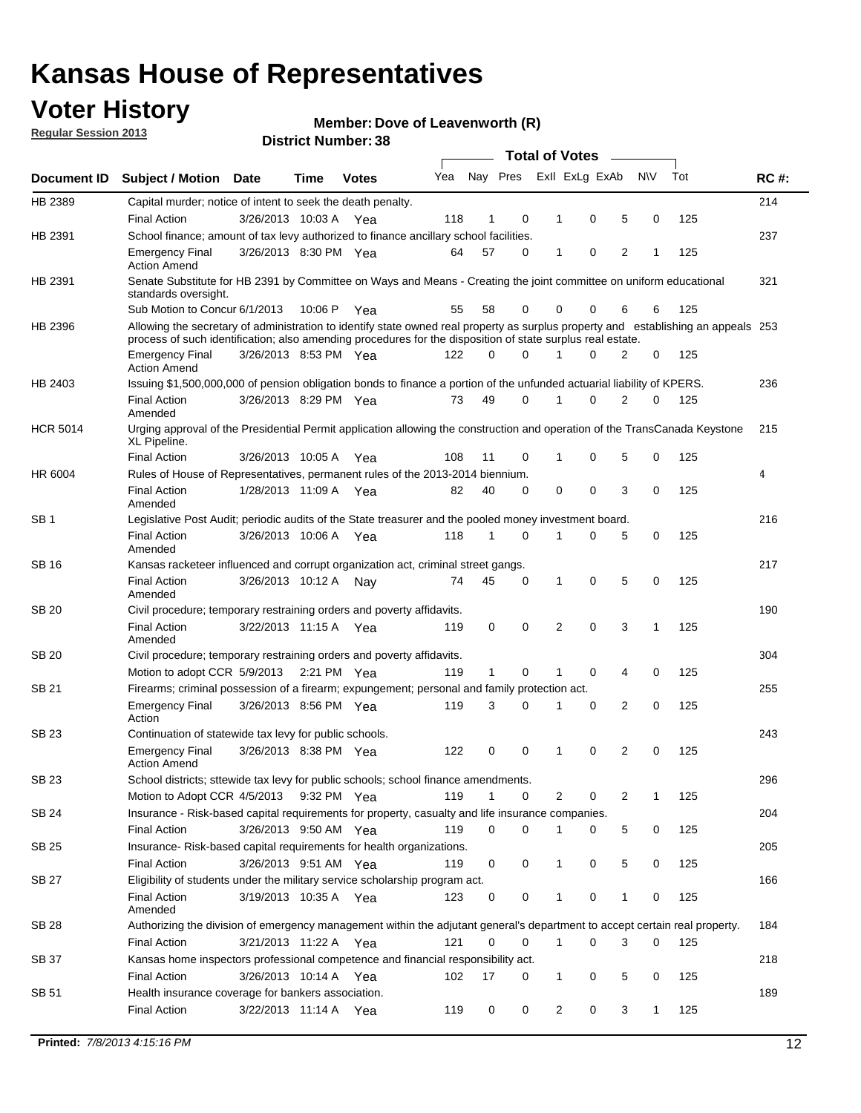### **Voter History**

**Member: Dove of Leavenworth (R)** 

**Regular Session 2013**

|                 |                                                                                                                                                                                                                                                  |                       |             |              |     |              |          | <b>Total of Votes</b> |   |   |              |     |             |
|-----------------|--------------------------------------------------------------------------------------------------------------------------------------------------------------------------------------------------------------------------------------------------|-----------------------|-------------|--------------|-----|--------------|----------|-----------------------|---|---|--------------|-----|-------------|
| Document ID     | Subject / Motion Date                                                                                                                                                                                                                            |                       | Time        | <b>Votes</b> | Yea | Nay Pres     |          | Exll ExLg ExAb        |   |   | <b>NV</b>    | Tot | <b>RC#:</b> |
| HB 2389         | Capital murder; notice of intent to seek the death penalty.                                                                                                                                                                                      |                       |             |              |     |              |          |                       |   |   |              |     | 214         |
|                 | <b>Final Action</b>                                                                                                                                                                                                                              | 3/26/2013 10:03 A     |             | Yea          | 118 | 1            | 0        | 1                     | 0 | 5 | 0            | 125 |             |
| HB 2391         | School finance; amount of tax levy authorized to finance ancillary school facilities.                                                                                                                                                            |                       |             |              |     |              |          |                       |   |   |              |     | 237         |
|                 | <b>Emergency Final</b><br><b>Action Amend</b>                                                                                                                                                                                                    | 3/26/2013 8:30 PM Yea |             |              | 64  | 57           | 0        | 1                     | 0 | 2 | 1            | 125 |             |
| HB 2391         | Senate Substitute for HB 2391 by Committee on Ways and Means - Creating the joint committee on uniform educational<br>standards oversight.                                                                                                       |                       |             |              |     |              |          |                       |   |   |              |     | 321         |
|                 | Sub Motion to Concur 6/1/2013                                                                                                                                                                                                                    |                       | 10:06 P     | Yea          | 55  | 58           | 0        | 0                     | 0 | 6 | 6            | 125 |             |
| HB 2396         | Allowing the secretary of administration to identify state owned real property as surplus property and establishing an appeals 253<br>process of such identification; also amending procedures for the disposition of state surplus real estate. |                       |             |              |     |              |          |                       |   |   |              |     |             |
|                 | <b>Emergency Final</b><br>Action Amend                                                                                                                                                                                                           | 3/26/2013 8:53 PM Yea |             |              | 122 | 0            | 0        |                       | 0 | 2 | 0            | 125 |             |
| HB 2403         | Issuing \$1,500,000,000 of pension obligation bonds to finance a portion of the unfunded actuarial liability of KPERS.                                                                                                                           |                       |             |              |     |              |          |                       |   |   |              |     | 236         |
|                 | <b>Final Action</b><br>Amended                                                                                                                                                                                                                   | 3/26/2013 8:29 PM Yea |             |              | 73  | 49           | 0        | 1                     | 0 | 2 | 0            | 125 |             |
| <b>HCR 5014</b> | Urging approval of the Presidential Permit application allowing the construction and operation of the TransCanada Keystone<br>XL Pipeline.                                                                                                       |                       |             |              |     |              |          |                       |   |   |              |     | 215         |
|                 | <b>Final Action</b>                                                                                                                                                                                                                              | 3/26/2013 10:05 A     |             | Yea          | 108 | 11           | 0        |                       | 0 | 5 | 0            | 125 |             |
| HR 6004         | Rules of House of Representatives, permanent rules of the 2013-2014 biennium.                                                                                                                                                                    |                       |             |              |     |              |          |                       |   |   |              |     | 4           |
|                 | <b>Final Action</b><br>Amended                                                                                                                                                                                                                   | 1/28/2013 11:09 A     |             | Yea          | 82  | 40           | 0        | 0                     | 0 | 3 | 0            | 125 |             |
| SB 1            | Legislative Post Audit; periodic audits of the State treasurer and the pooled money investment board.                                                                                                                                            |                       |             |              |     |              |          |                       |   |   |              |     | 216         |
|                 | <b>Final Action</b><br>Amended                                                                                                                                                                                                                   | 3/26/2013 10:06 A     |             | Yea          | 118 | 1            | 0        | 1                     | 0 | 5 | 0            | 125 |             |
| SB 16           | Kansas racketeer influenced and corrupt organization act, criminal street gangs.                                                                                                                                                                 |                       |             |              |     |              |          |                       |   |   |              |     | 217         |
|                 | <b>Final Action</b><br>Amended                                                                                                                                                                                                                   | 3/26/2013 10:12 A Nay |             |              | 74  | 45           | 0        | 1                     | 0 | 5 | 0            | 125 |             |
| SB 20           | Civil procedure; temporary restraining orders and poverty affidavits.                                                                                                                                                                            |                       |             |              |     |              |          |                       |   |   |              |     | 190         |
|                 | <b>Final Action</b><br>Amended                                                                                                                                                                                                                   | 3/22/2013 11:15 A     |             | Yea          | 119 | 0            | 0        | 2                     | 0 | 3 | 1            | 125 |             |
| SB 20           | Civil procedure; temporary restraining orders and poverty affidavits.                                                                                                                                                                            |                       |             |              |     |              |          |                       |   |   |              |     | 304         |
|                 | Motion to adopt CCR 5/9/2013                                                                                                                                                                                                                     |                       | 2:21 PM Yea |              | 119 | $\mathbf{1}$ | 0        | 1                     | 0 | 4 | 0            | 125 |             |
| SB 21           | Firearms; criminal possession of a firearm; expungement; personal and family protection act.                                                                                                                                                     |                       |             |              |     |              |          |                       |   |   |              |     | 255         |
|                 | <b>Emergency Final</b><br>Action                                                                                                                                                                                                                 | 3/26/2013 8:56 PM Yea |             |              | 119 | 3            | 0        |                       | 0 | 2 | 0            | 125 |             |
| SB 23           | Continuation of statewide tax levy for public schools.                                                                                                                                                                                           |                       |             |              |     |              |          |                       |   |   |              |     | 243         |
|                 | <b>Emergency Final</b><br><b>Action Amend</b>                                                                                                                                                                                                    | 3/26/2013 8:38 PM Yea |             |              | 122 | 0            | 0        | 1                     | 0 | 2 | 0            | 125 |             |
| <b>SB 23</b>    | School districts; sttewide tax levy for public schools; school finance amendments.                                                                                                                                                               |                       |             |              |     |              |          |                       |   |   |              |     | 296         |
|                 | Motion to Adopt CCR 4/5/2013 9:32 PM Yea                                                                                                                                                                                                         |                       |             |              | 119 | 1            | 0        | 2                     | 0 | 2 | 1            | 125 |             |
| <b>SB 24</b>    | Insurance - Risk-based capital requirements for property, casualty and life insurance companies.                                                                                                                                                 |                       |             |              |     |              |          |                       |   |   |              |     | 204         |
|                 | <b>Final Action</b>                                                                                                                                                                                                                              | 3/26/2013 9:50 AM Yea |             |              | 119 | 0            | 0        |                       | 0 | 5 | 0            | 125 |             |
| SB 25           | Insurance-Risk-based capital requirements for health organizations.                                                                                                                                                                              |                       |             |              |     |              |          |                       |   |   |              |     | 205         |
|                 | <b>Final Action</b>                                                                                                                                                                                                                              | 3/26/2013 9:51 AM Yea |             |              | 119 | 0            | 0        | 1                     | 0 | 5 | 0            | 125 |             |
| SB 27           | Eligibility of students under the military service scholarship program act.                                                                                                                                                                      |                       |             |              |     |              |          |                       |   |   |              |     | 166         |
|                 | <b>Final Action</b><br>Amended                                                                                                                                                                                                                   | 3/19/2013 10:35 A Yea |             |              | 123 | 0            | 0        |                       | 0 | 1 | 0            | 125 |             |
| SB 28           | Authorizing the division of emergency management within the adjutant general's department to accept certain real property.                                                                                                                       |                       |             |              |     |              |          |                       |   |   |              |     | 184         |
|                 | <b>Final Action</b>                                                                                                                                                                                                                              | 3/21/2013 11:22 A Yea |             |              | 121 | 0            | $\Omega$ | 1                     | 0 | 3 | $\Omega$     | 125 |             |
| SB 37           | Kansas home inspectors professional competence and financial responsibility act.                                                                                                                                                                 |                       |             |              |     |              |          |                       |   |   |              |     | 218         |
|                 | <b>Final Action</b>                                                                                                                                                                                                                              | 3/26/2013 10:14 A Yea |             |              | 102 | 17           | 0        | 1                     | 0 | 5 | 0            | 125 |             |
| SB 51           | Health insurance coverage for bankers association.                                                                                                                                                                                               |                       |             |              |     |              |          |                       |   |   |              |     | 189         |
|                 | <b>Final Action</b>                                                                                                                                                                                                                              | 3/22/2013 11:14 A Yea |             |              | 119 | 0            | 0        | 2                     | 0 | 3 | $\mathbf{1}$ | 125 |             |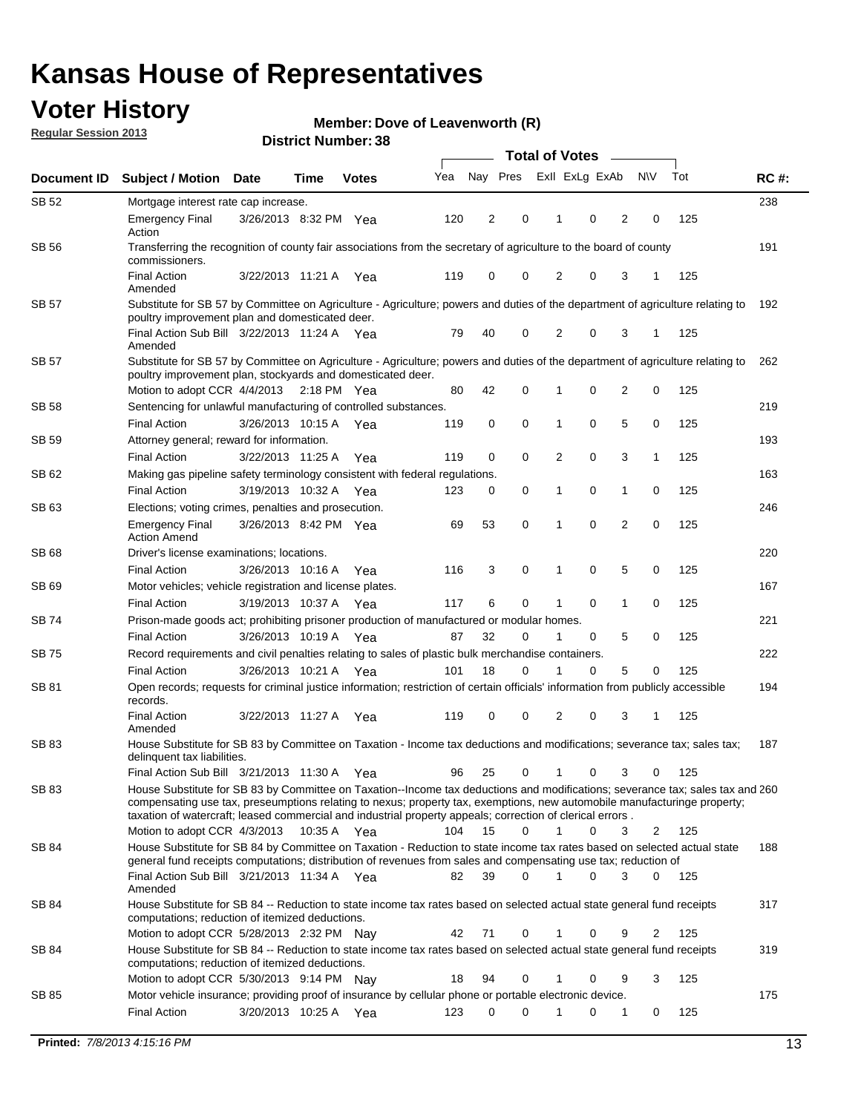### **Voter History**

**Member: Dove of Leavenworth (R)** 

**Regular Session 2013**

|              |                                                                                                                                                                                                                                                                                                                                                                         |                                                                                                                                        |             |              |     | <b>Total of Votes</b> |          |                |   |                |           |     |             |  |
|--------------|-------------------------------------------------------------------------------------------------------------------------------------------------------------------------------------------------------------------------------------------------------------------------------------------------------------------------------------------------------------------------|----------------------------------------------------------------------------------------------------------------------------------------|-------------|--------------|-----|-----------------------|----------|----------------|---|----------------|-----------|-----|-------------|--|
| Document ID  | <b>Subject / Motion</b>                                                                                                                                                                                                                                                                                                                                                 | <b>Date</b>                                                                                                                            | Time        | <b>Votes</b> | Yea | Nay Pres              |          | Exll ExLg ExAb |   |                | <b>NV</b> | Tot | <b>RC#:</b> |  |
| SB 52        | Mortgage interest rate cap increase.                                                                                                                                                                                                                                                                                                                                    |                                                                                                                                        |             |              |     |                       |          |                |   |                |           |     | 238         |  |
|              | <b>Emergency Final</b><br>Action                                                                                                                                                                                                                                                                                                                                        | 3/26/2013 8:32 PM Yea                                                                                                                  |             |              | 120 | 2                     | 0        | 1              | 0 | 2              | 0         | 125 |             |  |
| SB 56        | Transferring the recognition of county fair associations from the secretary of agriculture to the board of county<br>commissioners.                                                                                                                                                                                                                                     |                                                                                                                                        |             |              |     |                       |          |                |   |                |           |     | 191         |  |
|              | <b>Final Action</b><br>Amended                                                                                                                                                                                                                                                                                                                                          | 3/22/2013 11:21 A                                                                                                                      |             | Yea          | 119 | $\mathbf 0$           | 0        | $\overline{2}$ | 0 | 3              | 1         | 125 |             |  |
| <b>SB 57</b> | Substitute for SB 57 by Committee on Agriculture - Agriculture; powers and duties of the department of agriculture relating to<br>poultry improvement plan and domesticated deer.                                                                                                                                                                                       |                                                                                                                                        |             |              |     |                       |          |                |   |                |           |     | 192         |  |
|              | Final Action Sub Bill 3/22/2013 11:24 A Yea<br>Amended                                                                                                                                                                                                                                                                                                                  |                                                                                                                                        |             |              | 79  | 40                    | 0        | 2              | 0 | 3              | -1        | 125 |             |  |
| SB 57        | Substitute for SB 57 by Committee on Agriculture - Agriculture; powers and duties of the department of agriculture relating to<br>poultry improvement plan, stockyards and domesticated deer.                                                                                                                                                                           |                                                                                                                                        |             |              |     |                       |          |                |   |                |           |     | 262         |  |
|              | Motion to adopt CCR 4/4/2013 2:18 PM Yea                                                                                                                                                                                                                                                                                                                                |                                                                                                                                        |             |              | 80  | 42                    | 0        | 1              | 0 | 2              | 0         | 125 |             |  |
| SB 58        | Sentencing for unlawful manufacturing of controlled substances.                                                                                                                                                                                                                                                                                                         |                                                                                                                                        |             |              |     |                       |          |                |   |                |           |     | 219         |  |
| SB 59        | <b>Final Action</b><br>Attorney general; reward for information.                                                                                                                                                                                                                                                                                                        | 3/26/2013 10:15 A                                                                                                                      |             | Yea          | 119 | 0                     | 0        | 1              | 0 | 5              | 0         | 125 | 193         |  |
|              | <b>Final Action</b>                                                                                                                                                                                                                                                                                                                                                     | 3/22/2013 11:25 A                                                                                                                      |             | Yea          | 119 | $\mathbf 0$           | 0        | 2              | 0 | 3              | 1         | 125 |             |  |
| SB 62        | Making gas pipeline safety terminology consistent with federal regulations.                                                                                                                                                                                                                                                                                             |                                                                                                                                        |             |              |     |                       |          |                |   |                |           | 125 | 163         |  |
|              | <b>Final Action</b>                                                                                                                                                                                                                                                                                                                                                     | 3/19/2013 10:32 A                                                                                                                      |             | Yea          | 123 | 0                     | 0        | 1              | 0 | 1              | 0         |     |             |  |
| SB 63        | Elections; voting crimes, penalties and prosecution.<br><b>Emergency Final</b><br><b>Action Amend</b>                                                                                                                                                                                                                                                                   | 3/26/2013 8:42 PM Yea                                                                                                                  |             |              | 69  | 53                    | 0        | 1              | 0 | $\overline{2}$ | 0         | 125 | 246         |  |
| SB 68        | Driver's license examinations; locations.                                                                                                                                                                                                                                                                                                                               |                                                                                                                                        |             |              |     |                       |          |                |   |                |           |     | 220         |  |
|              | <b>Final Action</b>                                                                                                                                                                                                                                                                                                                                                     | 3/26/2013 10:16 A                                                                                                                      |             | Yea          | 116 | 3                     | 0        | 1              | 0 | 5              | 0         | 125 |             |  |
| SB 69        | Motor vehicles; vehicle registration and license plates.                                                                                                                                                                                                                                                                                                                |                                                                                                                                        |             |              |     |                       |          |                |   |                |           |     | 167         |  |
|              | <b>Final Action</b>                                                                                                                                                                                                                                                                                                                                                     | 3/19/2013 10:37 A                                                                                                                      |             | Yea          | 117 | 6                     | 0        | 1              | 0 | 1              | 0         | 125 |             |  |
| SB 74        | Prison-made goods act; prohibiting prisoner production of manufactured or modular homes.                                                                                                                                                                                                                                                                                |                                                                                                                                        |             |              |     |                       |          |                |   |                |           |     | 221         |  |
|              | <b>Final Action</b>                                                                                                                                                                                                                                                                                                                                                     | 3/26/2013 10:19 A                                                                                                                      |             | Yea          | 87  | 32                    | 0        | 1              | 0 | 5              | 0         | 125 |             |  |
| SB 75        | Record requirements and civil penalties relating to sales of plastic bulk merchandise containers.                                                                                                                                                                                                                                                                       |                                                                                                                                        |             |              |     |                       |          |                |   |                |           |     | 222         |  |
|              | <b>Final Action</b>                                                                                                                                                                                                                                                                                                                                                     | 3/26/2013 10:21 A                                                                                                                      |             | Yea          | 101 | 18                    | 0        | 1              | 0 | 5              | 0         | 125 |             |  |
| SB 81        | records.                                                                                                                                                                                                                                                                                                                                                                | Open records; requests for criminal justice information; restriction of certain officials' information from publicly accessible<br>194 |             |              |     |                       |          |                |   |                |           |     |             |  |
|              | <b>Final Action</b><br>Amended                                                                                                                                                                                                                                                                                                                                          | 3/22/2013 11:27 A                                                                                                                      |             | Yea          | 119 | 0                     | 0        | 2              | 0 | 3              | 1         | 125 |             |  |
| SB 83        | House Substitute for SB 83 by Committee on Taxation - Income tax deductions and modifications; severance tax; sales tax;<br>delinquent tax liabilities.                                                                                                                                                                                                                 |                                                                                                                                        |             |              |     |                       |          |                |   |                |           |     | 187         |  |
|              | Final Action Sub Bill 3/21/2013 11:30 A Yea                                                                                                                                                                                                                                                                                                                             |                                                                                                                                        |             |              | 96  | 25                    | 0        | $\mathbf{1}$   | 0 | 3              | 0         | 125 |             |  |
| SB 83        | House Substitute for SB 83 by Committee on Taxation--Income tax deductions and modifications; severance tax; sales tax and 260<br>compensating use tax, preseumptions relating to nexus; property tax, exemptions, new automobile manufacturinge property;<br>taxation of watercraft; leased commercial and industrial property appeals; correction of clerical errors. |                                                                                                                                        |             |              |     |                       | $\Omega$ | $\mathbf{1}$   |   |                |           |     |             |  |
|              | Motion to adopt CCR 4/3/2013<br>House Substitute for SB 84 by Committee on Taxation - Reduction to state income tax rates based on selected actual state                                                                                                                                                                                                                |                                                                                                                                        | 10:35 A Yea |              | 104 | 15                    |          |                | 0 | 3              | 2         | 125 |             |  |
| SB 84        | general fund receipts computations; distribution of revenues from sales and compensating use tax; reduction of                                                                                                                                                                                                                                                          |                                                                                                                                        |             |              |     |                       |          |                |   |                |           |     | 188         |  |
|              | Final Action Sub Bill 3/21/2013 11:34 A Yea<br>Amended                                                                                                                                                                                                                                                                                                                  |                                                                                                                                        |             |              | 82  | 39                    | 0        |                | 0 | 3              | 0         | 125 |             |  |
| SB 84        | House Substitute for SB 84 -- Reduction to state income tax rates based on selected actual state general fund receipts<br>computations; reduction of itemized deductions.                                                                                                                                                                                               |                                                                                                                                        |             |              |     |                       |          |                |   |                |           |     | 317         |  |
|              | Motion to adopt CCR 5/28/2013 2:32 PM Nav                                                                                                                                                                                                                                                                                                                               |                                                                                                                                        |             |              | 42  | 71                    | 0        | 1              | 0 | 9              | 2         | 125 |             |  |
| SB 84        | House Substitute for SB 84 -- Reduction to state income tax rates based on selected actual state general fund receipts<br>computations; reduction of itemized deductions.                                                                                                                                                                                               |                                                                                                                                        |             |              |     |                       |          |                |   |                |           |     | 319         |  |
|              | Motion to adopt CCR 5/30/2013 9:14 PM Nay                                                                                                                                                                                                                                                                                                                               |                                                                                                                                        |             |              | 18  | 94                    | 0        | 1              | 0 | 9              | 3         | 125 |             |  |
| SB 85        | Motor vehicle insurance; providing proof of insurance by cellular phone or portable electronic device.<br><b>Final Action</b>                                                                                                                                                                                                                                           | 3/20/2013 10:25 A Yea                                                                                                                  |             |              | 123 | $\Omega$              | 0        | 1              | 0 | 1              | 0         | 125 | 175         |  |
|              |                                                                                                                                                                                                                                                                                                                                                                         |                                                                                                                                        |             |              |     |                       |          |                |   |                |           |     |             |  |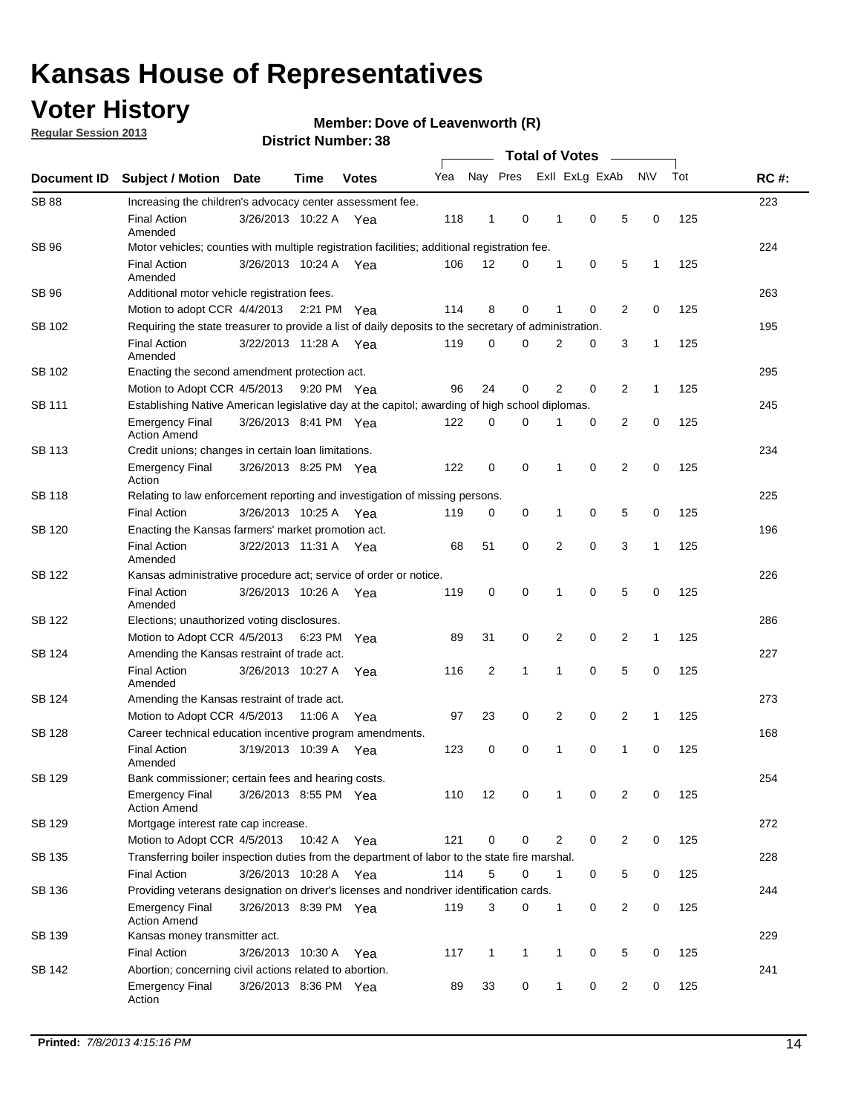### **Voter History**

**Regular Session 2013**

**Member: Dove of Leavenworth (R)** 

|                    |                                                                                                       | טט. וסעוווטנו ועוווט  | <b>Total of Votes</b> |              |     |              |              |  |                |                |                |              |     |             |
|--------------------|-------------------------------------------------------------------------------------------------------|-----------------------|-----------------------|--------------|-----|--------------|--------------|--|----------------|----------------|----------------|--------------|-----|-------------|
| <b>Document ID</b> | <b>Subject / Motion</b>                                                                               | <b>Date</b>           | <b>Time</b>           | <b>Votes</b> | Yea |              | Nay Pres     |  |                | Exll ExLg ExAb |                | <b>NV</b>    | Tot | <b>RC#:</b> |
| <b>SB 88</b>       | Increasing the children's advocacy center assessment fee.                                             |                       |                       |              |     |              |              |  |                |                |                |              |     | 223         |
|                    | <b>Final Action</b><br>Amended                                                                        | 3/26/2013 10:22 A Yea |                       |              | 118 | $\mathbf{1}$ | 0            |  | $\mathbf 1$    | 0              | 5              | 0            | 125 |             |
| SB 96              | Motor vehicles; counties with multiple registration facilities; additional registration fee.          |                       |                       |              |     |              |              |  |                |                |                |              |     | 224         |
|                    | <b>Final Action</b><br>Amended                                                                        | 3/26/2013 10:24 A     |                       | Yea          | 106 | 12           | 0            |  | 1              | 0              | 5              | 1            | 125 |             |
| SB 96              | Additional motor vehicle registration fees.                                                           |                       |                       |              |     |              |              |  |                |                |                |              |     | 263         |
|                    | Motion to adopt CCR 4/4/2013                                                                          |                       | 2:21 PM Yea           |              | 114 | 8            | 0            |  | 1              | 0              | $\overline{2}$ | 0            | 125 |             |
| SB 102             | Requiring the state treasurer to provide a list of daily deposits to the secretary of administration. |                       |                       |              |     |              |              |  |                |                |                |              |     | 195         |
|                    | <b>Final Action</b><br>Amended                                                                        | 3/22/2013 11:28 A     |                       | Yea          | 119 | 0            | 0            |  | 2              | 0              | 3              | 1            | 125 |             |
| SB 102             | Enacting the second amendment protection act.                                                         |                       |                       |              |     |              |              |  |                |                |                |              |     | 295         |
|                    | Motion to Adopt CCR 4/5/2013                                                                          |                       | 9:20 PM Yea           |              | 96  | 24           | 0            |  | $\overline{2}$ | 0              | $\overline{2}$ | 1            | 125 |             |
| SB 111             | Establishing Native American legislative day at the capitol; awarding of high school diplomas.        |                       |                       |              |     |              |              |  |                |                |                |              | 245 |             |
|                    | <b>Emergency Final</b><br><b>Action Amend</b>                                                         | 3/26/2013 8:41 PM Yea |                       |              | 122 | 0            | $\Omega$     |  |                | 0              | $\overline{2}$ | 0            | 125 |             |
| SB 113             | Credit unions; changes in certain loan limitations.                                                   |                       |                       |              |     |              |              |  |                |                |                |              |     | 234         |
|                    | <b>Emergency Final</b><br>Action                                                                      | 3/26/2013 8:25 PM Yea |                       |              | 122 | 0            | 0            |  | 1              | $\mathbf 0$    | $\overline{2}$ | 0            | 125 |             |
| <b>SB 118</b>      | Relating to law enforcement reporting and investigation of missing persons.                           |                       |                       |              |     |              |              |  |                |                |                |              |     | 225         |
|                    | <b>Final Action</b>                                                                                   | 3/26/2013 10:25 A     |                       | Yea          | 119 | 0            | 0            |  | 1              | 0              | 5              | 0            | 125 |             |
| SB 120             | Enacting the Kansas farmers' market promotion act.                                                    |                       |                       |              |     |              |              |  |                |                |                |              |     | 196         |
|                    | <b>Final Action</b><br>Amended                                                                        | 3/22/2013 11:31 A Yea |                       |              | 68  | 51           | 0            |  | 2              | $\mathbf 0$    | 3              | 1            | 125 |             |
| SB 122             | Kansas administrative procedure act; service of order or notice.                                      |                       |                       |              |     |              |              |  |                |                |                |              |     | 226         |
|                    | <b>Final Action</b><br>Amended                                                                        | 3/26/2013 10:26 A Yea |                       |              | 119 | 0            | 0            |  | 1              | 0              | 5              | 0            | 125 |             |
| SB 122             | Elections; unauthorized voting disclosures.                                                           |                       |                       |              |     |              |              |  |                |                |                |              |     | 286         |
|                    | Motion to Adopt CCR 4/5/2013                                                                          |                       | 6:23 PM               | Yea          | 89  | 31           | 0            |  | 2              | 0              | $\overline{2}$ | $\mathbf{1}$ | 125 |             |
| SB 124             | Amending the Kansas restraint of trade act.                                                           |                       |                       |              |     |              |              |  |                |                |                |              |     | 227         |
|                    | <b>Final Action</b><br>Amended                                                                        | 3/26/2013 10:27 A     |                       | Yea          | 116 | 2            | 1            |  | 1              | $\mathbf 0$    | 5              | $\mathbf 0$  | 125 |             |
| SB 124             | Amending the Kansas restraint of trade act.                                                           |                       |                       |              |     |              |              |  |                |                |                |              |     | 273         |
|                    | Motion to Adopt CCR 4/5/2013                                                                          |                       | 11:06 A               | Yea          | 97  | 23           | 0            |  | 2              | 0              | $\overline{2}$ | 1            | 125 |             |
| SB 128             | Career technical education incentive program amendments.                                              |                       |                       |              |     |              |              |  |                |                |                |              |     | 168         |
|                    | <b>Final Action</b><br>Amended                                                                        | 3/19/2013 10:39 A     |                       | Yea          | 123 | 0            | 0            |  | 1              | 0              | 1              | 0            | 125 |             |
| SB 129             | Bank commissioner; certain fees and hearing costs.                                                    |                       |                       |              |     |              |              |  |                |                |                |              |     | 254         |
|                    | <b>Emergency Final</b><br><b>Action Amend</b>                                                         | 3/26/2013 8:55 PM Yea |                       |              | 110 | 12           | 0            |  | 1              | 0              | 2              | 0            | 125 |             |
| SB 129             | Mortgage interest rate cap increase.                                                                  |                       |                       |              |     |              |              |  |                |                |                |              |     | 272         |
|                    | Motion to Adopt CCR 4/5/2013                                                                          |                       | 10:42 A Yea           |              | 121 | 0            | 0            |  | 2              | 0              | $\overline{2}$ | 0            | 125 |             |
| SB 135             | Transferring boiler inspection duties from the department of labor to the state fire marshal.         |                       |                       |              |     |              |              |  |                |                |                |              |     | 228         |
|                    | <b>Final Action</b>                                                                                   | 3/26/2013 10:28 A Yea |                       |              | 114 | 5            | 0            |  | $\mathbf{1}$   | 0              | 5              | 0            | 125 |             |
| SB 136             | Providing veterans designation on driver's licenses and nondriver identification cards.               |                       |                       |              |     |              |              |  |                |                |                |              |     | 244         |
|                    | <b>Emergency Final</b><br><b>Action Amend</b>                                                         | 3/26/2013 8:39 PM Yea |                       |              | 119 | 3            | 0            |  | $\mathbf{1}$   | 0              | $\overline{2}$ | 0            | 125 |             |
| SB 139             | Kansas money transmitter act.                                                                         |                       |                       |              |     |              |              |  |                |                |                |              |     | 229         |
|                    | <b>Final Action</b>                                                                                   | 3/26/2013 10:30 A Yea |                       |              | 117 | $\mathbf{1}$ | $\mathbf{1}$ |  | $\mathbf{1}$   | $\mathbf 0$    | 5              | 0            | 125 |             |
| SB 142             | Abortion; concerning civil actions related to abortion.                                               |                       |                       |              |     |              |              |  |                |                |                |              |     | 241         |
|                    | Emergency Final<br>Action                                                                             | 3/26/2013 8:36 PM Yea |                       |              | 89  | 33           | 0            |  | 1              | 0              | $\overline{2}$ | 0            | 125 |             |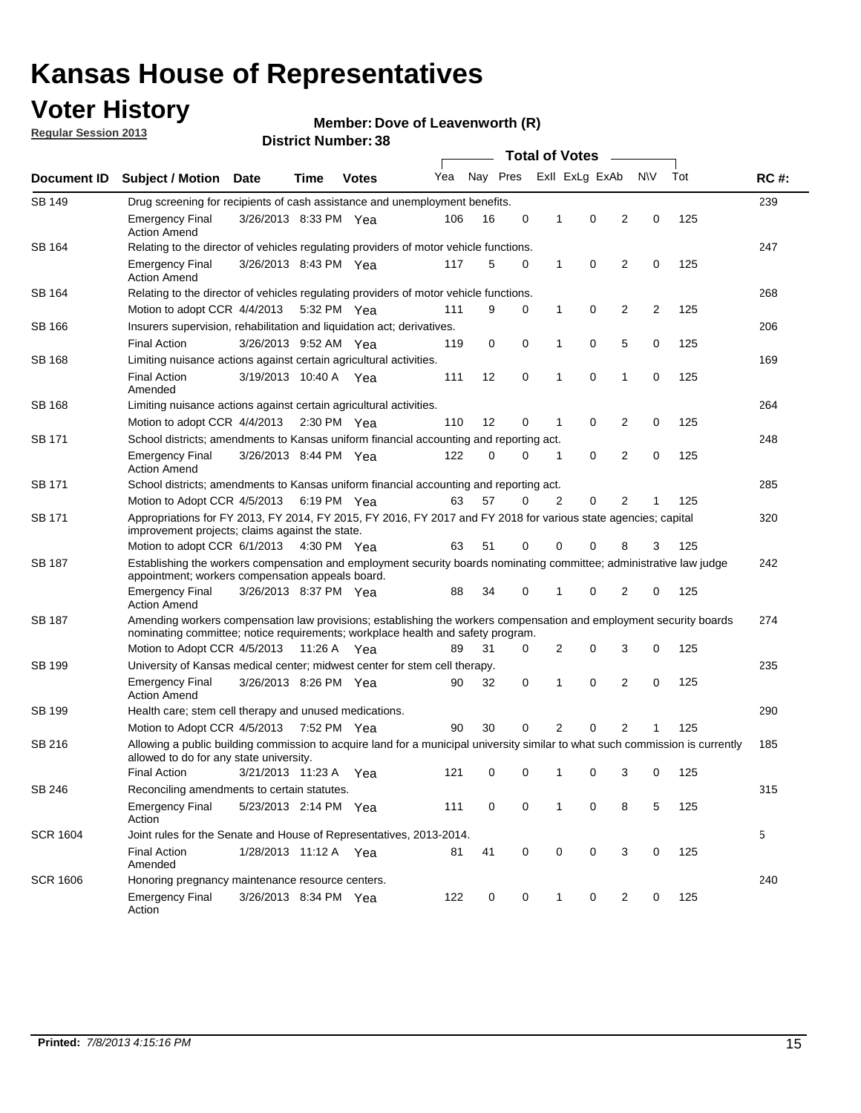### **Voter History**

**Member: Dove of Leavenworth (R)** 

**Regular Session 2013**

| Document ID     |                                                                                                                                                                                                       |                                                                                                                                                                         |             |                       |     | <b>Total of Votes</b> |             |                |                |                |           |     |             |  |  |  |  |  |  |
|-----------------|-------------------------------------------------------------------------------------------------------------------------------------------------------------------------------------------------------|-------------------------------------------------------------------------------------------------------------------------------------------------------------------------|-------------|-----------------------|-----|-----------------------|-------------|----------------|----------------|----------------|-----------|-----|-------------|--|--|--|--|--|--|
|                 | <b>Subject / Motion</b>                                                                                                                                                                               | Date                                                                                                                                                                    | Time        | <b>Votes</b>          | Yea | Nay Pres              |             |                | Exll ExLg ExAb |                | <b>NV</b> | Tot | <b>RC#:</b> |  |  |  |  |  |  |
| SB 149          | Drug screening for recipients of cash assistance and unemployment benefits.                                                                                                                           |                                                                                                                                                                         |             |                       |     |                       |             |                |                |                |           |     | 239         |  |  |  |  |  |  |
|                 | <b>Emergency Final</b><br><b>Action Amend</b>                                                                                                                                                         | 3/26/2013 8:33 PM Yea                                                                                                                                                   |             |                       | 106 | 16                    | 0           | $\mathbf 1$    | 0              | 2              | 0         | 125 |             |  |  |  |  |  |  |
| SB 164          | Relating to the director of vehicles regulating providers of motor vehicle functions.                                                                                                                 |                                                                                                                                                                         |             |                       |     |                       |             |                |                |                |           |     | 247         |  |  |  |  |  |  |
|                 | <b>Emergency Final</b><br><b>Action Amend</b>                                                                                                                                                         | 3/26/2013 8:43 PM Yea                                                                                                                                                   |             |                       | 117 | 5                     | 0           | 1              | 0              | 2              | 0         | 125 |             |  |  |  |  |  |  |
| SB 164          | Relating to the director of vehicles regulating providers of motor vehicle functions.                                                                                                                 |                                                                                                                                                                         |             |                       |     |                       |             |                |                |                |           |     | 268         |  |  |  |  |  |  |
|                 |                                                                                                                                                                                                       | 0<br>Motion to adopt CCR 4/4/2013 5:32 PM Yea<br>9<br>0<br>$\mathbf{1}$<br>2<br>2<br>125<br>111                                                                         |             |                       |     |                       |             |                |                |                |           |     |             |  |  |  |  |  |  |
| SB 166          | Insurers supervision, rehabilitation and liquidation act; derivatives.                                                                                                                                |                                                                                                                                                                         |             |                       |     |                       |             |                |                |                |           |     | 206         |  |  |  |  |  |  |
|                 | <b>Final Action</b>                                                                                                                                                                                   | 3/26/2013 9:52 AM Yea                                                                                                                                                   |             |                       | 119 | 0                     | 0           | 1              | 0              | 5              | 0         | 125 |             |  |  |  |  |  |  |
| <b>SB 168</b>   | Limiting nuisance actions against certain agricultural activities.                                                                                                                                    |                                                                                                                                                                         |             |                       |     |                       |             |                |                |                |           |     | 169         |  |  |  |  |  |  |
|                 | <b>Final Action</b><br>Amended                                                                                                                                                                        | 3/19/2013 10:40 A Yea                                                                                                                                                   |             |                       | 111 | 12                    | $\mathbf 0$ | 1              | $\mathbf 0$    | 1              | 0         | 125 |             |  |  |  |  |  |  |
| <b>SB 168</b>   | Limiting nuisance actions against certain agricultural activities.                                                                                                                                    |                                                                                                                                                                         |             |                       |     |                       |             |                |                |                |           |     | 264         |  |  |  |  |  |  |
|                 | Motion to adopt CCR 4/4/2013                                                                                                                                                                          |                                                                                                                                                                         |             | $2:30 \text{ PM}$ Yea | 110 | 12                    | 0           | 1              | 0              | 2              | 0         | 125 |             |  |  |  |  |  |  |
| SB 171          | School districts; amendments to Kansas uniform financial accounting and reporting act.                                                                                                                |                                                                                                                                                                         |             |                       |     |                       |             |                |                |                |           |     | 248         |  |  |  |  |  |  |
|                 | <b>Emergency Final</b><br><b>Action Amend</b>                                                                                                                                                         | 3/26/2013 8:44 PM Yea                                                                                                                                                   |             |                       | 122 | 0                     | 0           | 1              | 0              | 2              | 0         | 125 |             |  |  |  |  |  |  |
| SB 171          | School districts; amendments to Kansas uniform financial accounting and reporting act.                                                                                                                |                                                                                                                                                                         |             |                       |     |                       |             |                |                |                |           |     | 285         |  |  |  |  |  |  |
|                 | Motion to Adopt CCR 4/5/2013 6:19 PM Yea                                                                                                                                                              |                                                                                                                                                                         |             |                       | 63  | 57                    | 0           | $\overline{2}$ | 0              | $\overline{2}$ |           | 125 |             |  |  |  |  |  |  |
| SB 171          | Appropriations for FY 2013, FY 2014, FY 2015, FY 2016, FY 2017 and FY 2018 for various state agencies; capital<br>improvement projects; claims against the state.                                     |                                                                                                                                                                         |             |                       |     |                       |             |                |                |                |           |     | 320         |  |  |  |  |  |  |
|                 | Motion to adopt CCR 6/1/2013 4:30 PM Yea                                                                                                                                                              |                                                                                                                                                                         |             |                       | 63  | 51                    | 0           | 0              | 0              | 8              | 3         | 125 | 242         |  |  |  |  |  |  |
| SB 187          |                                                                                                                                                                                                       | Establishing the workers compensation and employment security boards nominating committee; administrative law judge<br>appointment; workers compensation appeals board. |             |                       |     |                       |             |                |                |                |           |     |             |  |  |  |  |  |  |
|                 | <b>Emergency Final</b><br><b>Action Amend</b>                                                                                                                                                         | 3/26/2013 8:37 PM Yea                                                                                                                                                   |             |                       | 88  | 34                    | 0           |                | 0              | 2              | 0         | 125 |             |  |  |  |  |  |  |
| SB 187          | Amending workers compensation law provisions; establishing the workers compensation and employment security boards<br>nominating committee; notice requirements; workplace health and safety program. |                                                                                                                                                                         |             |                       |     |                       |             |                |                |                |           |     | 274         |  |  |  |  |  |  |
|                 | Motion to Adopt CCR 4/5/2013 11:26 A Yea                                                                                                                                                              |                                                                                                                                                                         |             |                       | 89  | 31                    | 0           | 2              | 0              | 3              | 0         | 125 |             |  |  |  |  |  |  |
| SB 199          | University of Kansas medical center; midwest center for stem cell therapy.                                                                                                                            |                                                                                                                                                                         |             |                       |     |                       |             |                |                |                |           |     | 235         |  |  |  |  |  |  |
|                 | <b>Emergency Final</b><br><b>Action Amend</b>                                                                                                                                                         | 3/26/2013 8:26 PM Yea                                                                                                                                                   |             |                       | 90  | 32                    | 0           | 1              | 0              | 2              | 0         | 125 |             |  |  |  |  |  |  |
| SB 199          | Health care; stem cell therapy and unused medications.                                                                                                                                                |                                                                                                                                                                         |             |                       |     |                       |             |                |                |                |           |     | 290         |  |  |  |  |  |  |
|                 | Motion to Adopt CCR 4/5/2013                                                                                                                                                                          |                                                                                                                                                                         | 7:52 PM Yea |                       | 90  | 30                    | 0           | 2              | 0              | 2              | 1         | 125 |             |  |  |  |  |  |  |
| SB 216          | Allowing a public building commission to acquire land for a municipal university similar to what such commission is currently<br>allowed to do for any state university.                              |                                                                                                                                                                         |             |                       |     |                       |             |                |                |                |           |     | 185         |  |  |  |  |  |  |
|                 | <b>Final Action</b>                                                                                                                                                                                   | 3/21/2013 11:23 A                                                                                                                                                       |             | Yea                   | 121 | 0                     | 0           | 1              | 0              | 3              | 0         | 125 |             |  |  |  |  |  |  |
| <b>SB 246</b>   | Reconciling amendments to certain statutes.                                                                                                                                                           |                                                                                                                                                                         |             |                       |     |                       |             |                |                |                |           |     | 315         |  |  |  |  |  |  |
|                 | <b>Emergency Final</b><br>Action                                                                                                                                                                      | 5/23/2013 2:14 PM Yea                                                                                                                                                   |             |                       | 111 | 0                     | 0           | 1              | 0              | 8              | 5         | 125 |             |  |  |  |  |  |  |
| <b>SCR 1604</b> | Joint rules for the Senate and House of Representatives, 2013-2014.                                                                                                                                   |                                                                                                                                                                         |             |                       |     |                       |             |                |                |                |           |     | 5           |  |  |  |  |  |  |
|                 | <b>Final Action</b><br>Amended                                                                                                                                                                        | 1/28/2013 11:12 A Yea                                                                                                                                                   |             |                       | 81  | 41                    | 0           | 0              | 0              | 3              | 0         | 125 |             |  |  |  |  |  |  |
| <b>SCR 1606</b> | Honoring pregnancy maintenance resource centers.                                                                                                                                                      |                                                                                                                                                                         |             |                       |     |                       |             |                |                |                |           |     | 240         |  |  |  |  |  |  |
|                 | <b>Emergency Final</b><br>Action                                                                                                                                                                      | 3/26/2013 8:34 PM Yea                                                                                                                                                   |             |                       | 122 | 0                     | 0           | 1              | 0              | 2              | 0         | 125 |             |  |  |  |  |  |  |